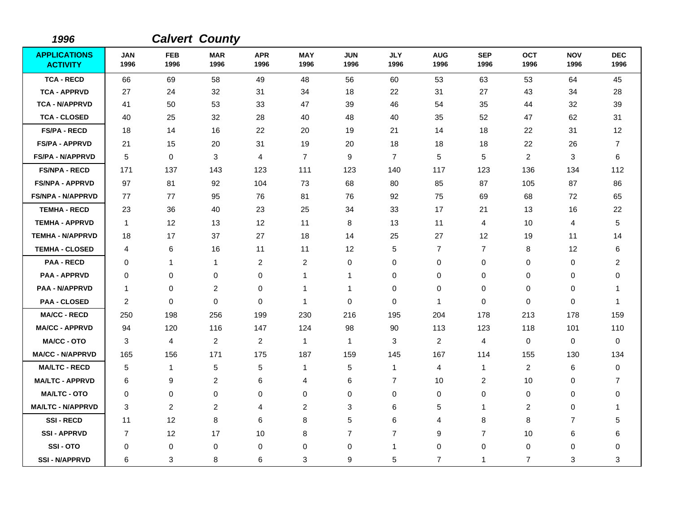| 1996                                   |                    |                    | <b>Calvert County</b> |                         |                    |                    |                    |                    |                    |                    |                    |                    |
|----------------------------------------|--------------------|--------------------|-----------------------|-------------------------|--------------------|--------------------|--------------------|--------------------|--------------------|--------------------|--------------------|--------------------|
| <b>APPLICATIONS</b><br><b>ACTIVITY</b> | <b>JAN</b><br>1996 | <b>FEB</b><br>1996 | <b>MAR</b><br>1996    | <b>APR</b><br>1996      | <b>MAY</b><br>1996 | <b>JUN</b><br>1996 | <b>JLY</b><br>1996 | <b>AUG</b><br>1996 | <b>SEP</b><br>1996 | <b>OCT</b><br>1996 | <b>NOV</b><br>1996 | <b>DEC</b><br>1996 |
| <b>TCA - RECD</b>                      | 66                 | 69                 | 58                    | 49                      | 48                 | 56                 | 60                 | 53                 | 63                 | 53                 | 64                 | 45                 |
| <b>TCA - APPRVD</b>                    | 27                 | 24                 | 32                    | 31                      | 34                 | 18                 | 22                 | 31                 | 27                 | 43                 | 34                 | 28                 |
| <b>TCA - N/APPRVD</b>                  | 41                 | 50                 | 53                    | 33                      | 47                 | 39                 | 46                 | 54                 | 35                 | 44                 | 32                 | 39                 |
| <b>TCA - CLOSED</b>                    | 40                 | 25                 | 32                    | 28                      | 40                 | 48                 | 40                 | 35                 | 52                 | 47                 | 62                 | 31                 |
| <b>FS/PA - RECD</b>                    | 18                 | 14                 | 16                    | 22                      | 20                 | 19                 | 21                 | 14                 | 18                 | 22                 | 31                 | 12                 |
| <b>FS/PA - APPRVD</b>                  | 21                 | 15                 | 20                    | 31                      | 19                 | 20                 | 18                 | 18                 | 18                 | 22                 | 26                 | $\overline{7}$     |
| <b>FS/PA - N/APPRVD</b>                | 5                  | 0                  | 3                     | 4                       | $\overline{7}$     | 9                  | $\overline{7}$     | 5                  | 5                  | 2                  | 3                  | 6                  |
| <b>FS/NPA - RECD</b>                   | 171                | 137                | 143                   | 123                     | 111                | 123                | 140                | 117                | 123                | 136                | 134                | 112                |
| <b>FS/NPA - APPRVD</b>                 | 97                 | 81                 | 92                    | 104                     | 73                 | 68                 | 80                 | 85                 | 87                 | 105                | 87                 | 86                 |
| <b>FS/NPA - N/APPRVD</b>               | 77                 | 77                 | 95                    | 76                      | 81                 | 76                 | 92                 | 75                 | 69                 | 68                 | 72                 | 65                 |
| <b>TEMHA - RECD</b>                    | 23                 | 36                 | 40                    | 23                      | 25                 | 34                 | 33                 | 17                 | 21                 | 13                 | 16                 | 22                 |
| <b>TEMHA - APPRVD</b>                  | $\mathbf 1$        | 12                 | 13                    | 12                      | 11                 | 8                  | 13                 | 11                 | 4                  | 10                 | 4                  | 5                  |
| <b>TEMHA - N/APPRVD</b>                | 18                 | 17                 | 37                    | 27                      | 18                 | 14                 | 25                 | 27                 | 12                 | 19                 | 11                 | 14                 |
| <b>TEMHA - CLOSED</b>                  | 4                  | 6                  | 16                    | 11                      | 11                 | 12                 | 5                  | 7                  | $\overline{7}$     | 8                  | 12                 | 6                  |
| <b>PAA - RECD</b>                      | $\Omega$           | 1                  | 1                     | $\overline{\mathbf{c}}$ | $\overline{c}$     | $\Omega$           | $\Omega$           | 0                  | $\mathbf 0$        | $\Omega$           | 0                  | $\overline{c}$     |
| <b>PAA - APPRVD</b>                    | 0                  | 0                  | $\mathbf 0$           | 0                       | 1                  | 1                  | 0                  | 0                  | $\mathbf 0$        | 0                  | 0                  | $\mathbf 0$        |
| <b>PAA - N/APPRVD</b>                  | $\mathbf 1$        | 0                  | $\overline{c}$        | 0                       | $\mathbf 1$        | 1                  | 0                  | 0                  | $\mathbf 0$        | 0                  | $\mathbf 0$        | 1                  |
| <b>PAA - CLOSED</b>                    | 2                  | 0                  | $\mathbf 0$           | 0                       | $\mathbf{1}$       | $\mathbf 0$        | $\mathbf 0$        | 1                  | $\mathbf 0$        | 0                  | $\mathbf 0$        | 1                  |
| <b>MA/CC - RECD</b>                    | 250                | 198                | 256                   | 199                     | 230                | 216                | 195                | 204                | 178                | 213                | 178                | 159                |
| <b>MA/CC - APPRVD</b>                  | 94                 | 120                | 116                   | 147                     | 124                | 98                 | 90                 | 113                | 123                | 118                | 101                | 110                |
| <b>MA/CC - OTO</b>                     | 3                  | 4                  | $\overline{2}$        | $\overline{2}$          | $\mathbf 1$        | 1                  | 3                  | $\overline{c}$     | $\overline{4}$     | $\mathbf 0$        | 0                  | 0                  |
| <b>MA/CC - N/APPRVD</b>                | 165                | 156                | 171                   | 175                     | 187                | 159                | 145                | 167                | 114                | 155                | 130                | 134                |
| <b>MA/LTC - RECD</b>                   | 5                  | $\mathbf{1}$       | 5                     | 5                       | $\mathbf{1}$       | 5                  | $\mathbf{1}$       | 4                  | $\overline{1}$     | 2                  | 6                  | $\mathbf 0$        |
| <b>MA/LTC - APPRVD</b>                 | 6                  | 9                  | 2                     | 6                       | 4                  | 6                  | 7                  | 10                 | 2                  | 10                 | 0                  | 7                  |
| <b>MA/LTC - OTO</b>                    | 0                  | 0                  | $\mathbf 0$           | 0                       | 0                  | 0                  | $\mathbf 0$        | 0                  | $\mathbf 0$        | 0                  | 0                  | $\Omega$           |
| <b>MA/LTC - N/APPRVD</b>               | 3                  | 2                  | $\overline{c}$        | 4                       | $\overline{c}$     | 3                  | 6                  | 5                  | $\mathbf{1}$       | 2                  | 0                  | 1                  |
| <b>SSI-RECD</b>                        | 11                 | 12                 | 8                     | 6                       | 8                  | 5                  | 6                  | 4                  | 8                  | 8                  | $\overline{7}$     | 5                  |
| <b>SSI-APPRVD</b>                      | 7                  | 12                 | 17                    | 10                      | 8                  | $\overline{7}$     | $\overline{7}$     | 9                  | $\overline{7}$     | 10                 | 6                  | 6                  |
| SSI-OTO                                | 0                  | 0                  | $\mathbf 0$           | 0                       | 0                  | $\mathbf 0$        | 1                  | 0                  | $\mathbf 0$        | 0                  | 0                  | 0                  |
| <b>SSI - N/APPRVD</b>                  | 6                  | 3                  | 8                     | 6                       | 3                  | 9                  | 5                  | $\overline{7}$     | -1                 | $\overline{7}$     | 3                  | 3                  |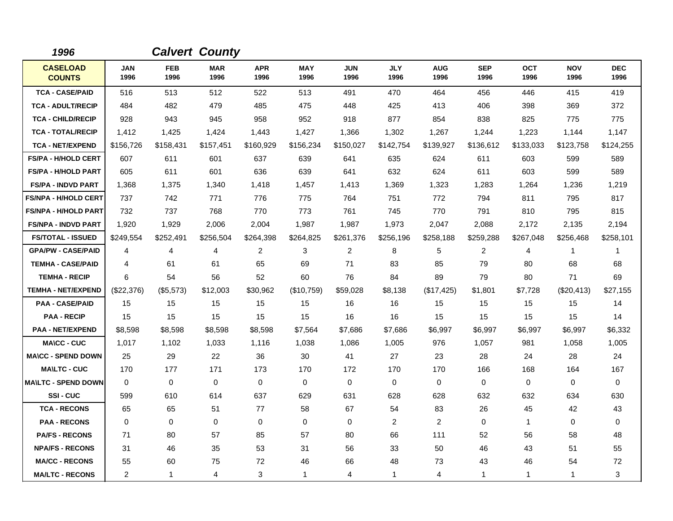| 1996                             |                    |                    | <b>Calvert County</b> |                    |                    |                    |                    |                    |                    |                    |                    |                    |
|----------------------------------|--------------------|--------------------|-----------------------|--------------------|--------------------|--------------------|--------------------|--------------------|--------------------|--------------------|--------------------|--------------------|
| <b>CASELOAD</b><br><b>COUNTS</b> | <b>JAN</b><br>1996 | <b>FEB</b><br>1996 | <b>MAR</b><br>1996    | <b>APR</b><br>1996 | <b>MAY</b><br>1996 | <b>JUN</b><br>1996 | <b>JLY</b><br>1996 | <b>AUG</b><br>1996 | <b>SEP</b><br>1996 | <b>OCT</b><br>1996 | <b>NOV</b><br>1996 | <b>DEC</b><br>1996 |
| <b>TCA - CASE/PAID</b>           | 516                | 513                | 512                   | 522                | 513                | 491                | 470                | 464                | 456                | 446                | 415                | 419                |
| <b>TCA - ADULT/RECIP</b>         | 484                | 482                | 479                   | 485                | 475                | 448                | 425                | 413                | 406                | 398                | 369                | 372                |
| <b>TCA - CHILD/RECIP</b>         | 928                | 943                | 945                   | 958                | 952                | 918                | 877                | 854                | 838                | 825                | 775                | 775                |
| <b>TCA - TOTAL/RECIP</b>         | 1,412              | 1,425              | 1,424                 | 1,443              | 1,427              | 1,366              | 1,302              | 1,267              | 1,244              | 1,223              | 1,144              | 1,147              |
| <b>TCA - NET/EXPEND</b>          | \$156,726          | \$158,431          | \$157,451             | \$160,929          | \$156,234          | \$150,027          | \$142,754          | \$139,927          | \$136,612          | \$133,033          | \$123,758          | \$124,255          |
| <b>FS/PA - H/HOLD CERT</b>       | 607                | 611                | 601                   | 637                | 639                | 641                | 635                | 624                | 611                | 603                | 599                | 589                |
| <b>FS/PA - H/HOLD PART</b>       | 605                | 611                | 601                   | 636                | 639                | 641                | 632                | 624                | 611                | 603                | 599                | 589                |
| <b>FS/PA - INDVD PART</b>        | 1,368              | 1,375              | 1,340                 | 1,418              | 1,457              | 1,413              | 1,369              | 1,323              | 1,283              | 1,264              | 1,236              | 1,219              |
| <b>FS/NPA - H/HOLD CERT</b>      | 737                | 742                | 771                   | 776                | 775                | 764                | 751                | 772                | 794                | 811                | 795                | 817                |
| <b>FS/NPA - H/HOLD PART</b>      | 732                | 737                | 768                   | 770                | 773                | 761                | 745                | 770                | 791                | 810                | 795                | 815                |
| <b>FS/NPA - INDVD PART</b>       | 1,920              | 1,929              | 2,006                 | 2,004              | 1,987              | 1,987              | 1,973              | 2,047              | 2,088              | 2,172              | 2,135              | 2,194              |
| <b>FS/TOTAL - ISSUED</b>         | \$249,554          | \$252,491          | \$256,504             | \$264,398          | \$264,825          | \$261,376          | \$256,196          | \$258,188          | \$259,288          | \$267,048          | \$256,468          | \$258,101          |
| <b>GPA/PW - CASE/PAID</b>        | 4                  | 4                  | 4                     | $\overline{2}$     | 3                  | 2                  | 8                  | 5                  | 2                  | 4                  | $\mathbf{1}$       | 1                  |
| <b>TEMHA - CASE/PAID</b>         | 4                  | 61                 | 61                    | 65                 | 69                 | 71                 | 83                 | 85                 | 79                 | 80                 | 68                 | 68                 |
| <b>TEMHA - RECIP</b>             | 6                  | 54                 | 56                    | 52                 | 60                 | 76                 | 84                 | 89                 | 79                 | 80                 | 71                 | 69                 |
| <b>TEMHA - NET/EXPEND</b>        | (\$22,376)         | (\$5,573)          | \$12,003              | \$30,962           | (\$10,759)         | \$59,028           | \$8,138            | (\$17,425)         | \$1,801            | \$7,728            | (\$20,413)         | \$27,155           |
| <b>PAA - CASE/PAID</b>           | 15                 | 15                 | 15                    | 15                 | 15                 | 16                 | 16                 | 15                 | 15                 | 15                 | 15                 | 14                 |
| <b>PAA - RECIP</b>               | 15                 | 15                 | 15                    | 15                 | 15                 | 16                 | 16                 | 15                 | 15                 | 15                 | 15                 | 14                 |
| <b>PAA - NET/EXPEND</b>          | \$8,598            | \$8,598            | \$8,598               | \$8,598            | \$7,564            | \$7,686            | \$7,686            | \$6,997            | \$6,997            | \$6,997            | \$6,997            | \$6,332            |
| <b>MA\CC - CUC</b>               | 1,017              | 1,102              | 1,033                 | 1,116              | 1,038              | 1,086              | 1,005              | 976                | 1,057              | 981                | 1,058              | 1,005              |
| <b>MA\CC - SPEND DOWN</b>        | 25                 | 29                 | 22                    | 36                 | 30                 | 41                 | 27                 | 23                 | 28                 | 24                 | 28                 | 24                 |
| <b>MA\LTC - CUC</b>              | 170                | 177                | 171                   | 173                | 170                | 172                | 170                | 170                | 166                | 168                | 164                | 167                |
| <b>MAILTC - SPEND DOWN</b>       | $\mathbf 0$        | $\mathbf 0$        | $\mathbf 0$           | 0                  | 0                  | $\mathbf 0$        | 0                  | $\mathbf 0$        | $\mathbf 0$        | 0                  | 0                  | $\mathbf 0$        |
| SSI-CUC                          | 599                | 610                | 614                   | 637                | 629                | 631                | 628                | 628                | 632                | 632                | 634                | 630                |
| <b>TCA - RECONS</b>              | 65                 | 65                 | 51                    | 77                 | 58                 | 67                 | 54                 | 83                 | 26                 | 45                 | 42                 | 43                 |
| <b>PAA - RECONS</b>              | $\Omega$           | 0                  | $\Omega$              | 0                  | 0                  | 0                  | $\overline{2}$     | $\overline{2}$     | $\mathbf 0$        | 1                  | $\mathbf 0$        | 0                  |
| <b>PA/FS - RECONS</b>            | 71                 | 80                 | 57                    | 85                 | 57                 | 80                 | 66                 | 111                | 52                 | 56                 | 58                 | 48                 |
| <b>NPA/FS - RECONS</b>           | 31                 | 46                 | 35                    | 53                 | 31                 | 56                 | 33                 | 50                 | 46                 | 43                 | 51                 | 55                 |
| <b>MA/CC - RECONS</b>            | 55                 | 60                 | 75                    | 72                 | 46                 | 66                 | 48                 | 73                 | 43                 | 46                 | 54                 | 72                 |
| <b>MA/LTC - RECONS</b>           | $\overline{2}$     | $\mathbf{1}$       | 4                     | 3                  | $\mathbf{1}$       | 4                  | 1                  | 4                  | 1                  | 1                  | $\mathbf{1}$       | 3                  |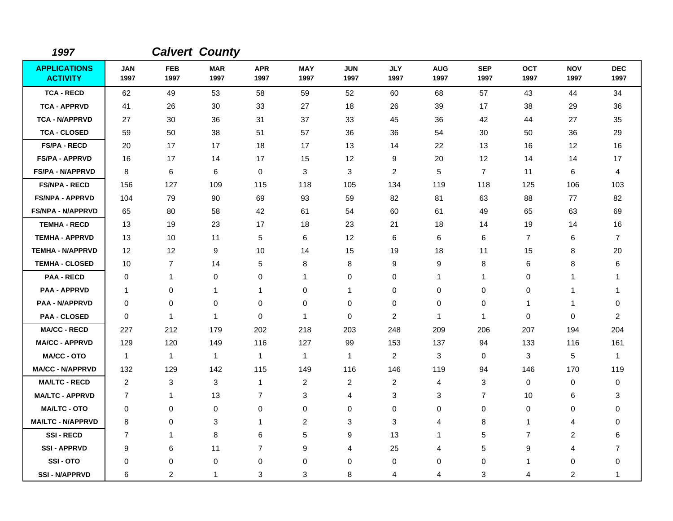| 1997                                   |                    |                    | <b>Calvert County</b> |                    |                    |                    |                    |                    |                    |                    |                    |                    |
|----------------------------------------|--------------------|--------------------|-----------------------|--------------------|--------------------|--------------------|--------------------|--------------------|--------------------|--------------------|--------------------|--------------------|
| <b>APPLICATIONS</b><br><b>ACTIVITY</b> | <b>JAN</b><br>1997 | <b>FEB</b><br>1997 | <b>MAR</b><br>1997    | <b>APR</b><br>1997 | <b>MAY</b><br>1997 | <b>JUN</b><br>1997 | <b>JLY</b><br>1997 | <b>AUG</b><br>1997 | <b>SEP</b><br>1997 | <b>OCT</b><br>1997 | <b>NOV</b><br>1997 | <b>DEC</b><br>1997 |
| <b>TCA - RECD</b>                      | 62                 | 49                 | 53                    | 58                 | 59                 | 52                 | 60                 | 68                 | 57                 | 43                 | 44                 | 34                 |
| <b>TCA - APPRVD</b>                    | 41                 | 26                 | 30                    | 33                 | 27                 | 18                 | 26                 | 39                 | 17                 | 38                 | 29                 | 36                 |
| <b>TCA - N/APPRVD</b>                  | 27                 | 30                 | 36                    | 31                 | 37                 | 33                 | 45                 | 36                 | 42                 | 44                 | 27                 | 35                 |
| <b>TCA - CLOSED</b>                    | 59                 | 50                 | 38                    | 51                 | 57                 | 36                 | 36                 | 54                 | 30                 | 50                 | 36                 | 29                 |
| <b>FS/PA - RECD</b>                    | 20                 | 17                 | 17                    | 18                 | 17                 | 13                 | 14                 | 22                 | 13                 | 16                 | 12                 | 16                 |
| <b>FS/PA - APPRVD</b>                  | 16                 | 17                 | 14                    | 17                 | 15                 | 12                 | 9                  | 20                 | 12                 | 14                 | 14                 | 17                 |
| <b>FS/PA - N/APPRVD</b>                | 8                  | 6                  | 6                     | 0                  | 3                  | 3                  | 2                  | 5                  | $\overline{7}$     | 11                 | 6                  | 4                  |
| <b>FS/NPA - RECD</b>                   | 156                | 127                | 109                   | 115                | 118                | 105                | 134                | 119                | 118                | 125                | 106                | 103                |
| <b>FS/NPA - APPRVD</b>                 | 104                | 79                 | 90                    | 69                 | 93                 | 59                 | 82                 | 81                 | 63                 | 88                 | 77                 | 82                 |
| <b>FS/NPA - N/APPRVD</b>               | 65                 | 80                 | 58                    | 42                 | 61                 | 54                 | 60                 | 61                 | 49                 | 65                 | 63                 | 69                 |
| <b>TEMHA - RECD</b>                    | 13                 | 19                 | 23                    | 17                 | 18                 | 23                 | 21                 | 18                 | 14                 | 19                 | 14                 | 16                 |
| <b>TEMHA - APPRVD</b>                  | 13                 | 10                 | 11                    | 5                  | 6                  | 12                 | 6                  | 6                  | 6                  | $\overline{7}$     | 6                  | $\overline{7}$     |
| <b>TEMHA - N/APPRVD</b>                | 12                 | $12 \,$            | 9                     | 10                 | 14                 | 15                 | 19                 | 18                 | 11                 | 15                 | 8                  | 20                 |
| <b>TEMHA - CLOSED</b>                  | 10                 | $\overline{7}$     | 14                    | 5                  | 8                  | 8                  | 9                  | 9                  | 8                  | 6                  | 8                  | 6                  |
| <b>PAA - RECD</b>                      | $\Omega$           | 1                  | 0                     | 0                  | $\mathbf{1}$       | 0                  | 0                  | 1                  | -1                 | 0                  | $\mathbf 1$        | 1                  |
| <b>PAA - APPRVD</b>                    | -1                 | 0                  | $\mathbf{1}$          | 1                  | 0                  | 1                  | 0                  | 0                  | 0                  | 0                  | 1                  | 1                  |
| <b>PAA - N/APPRVD</b>                  | 0                  | 0                  | 0                     | 0                  | 0                  | $\mathbf 0$        | 0                  | 0                  | 0                  | $\mathbf{1}$       | $\overline{1}$     | 0                  |
| <b>PAA - CLOSED</b>                    | 0                  | $\mathbf{1}$       | $\mathbf{1}$          | 0                  | $\mathbf{1}$       | $\mathbf 0$        | 2                  | 1                  | $\overline{1}$     | 0                  | 0                  | $\overline{2}$     |
| <b>MA/CC - RECD</b>                    | 227                | 212                | 179                   | 202                | 218                | 203                | 248                | 209                | 206                | 207                | 194                | 204                |
| <b>MA/CC - APPRVD</b>                  | 129                | 120                | 149                   | 116                | 127                | 99                 | 153                | 137                | 94                 | 133                | 116                | 161                |
| <b>MA/CC - OTO</b>                     | $\mathbf{1}$       | $\mathbf{1}$       | $\mathbf{1}$          | $\mathbf{1}$       | $\overline{1}$     | $\mathbf{1}$       | $\overline{c}$     | 3                  | 0                  | 3                  | 5                  | $\mathbf{1}$       |
| <b>MA/CC - N/APPRVD</b>                | 132                | 129                | 142                   | 115                | 149                | 116                | 146                | 119                | 94                 | 146                | 170                | 119                |
| <b>MA/LTC - RECD</b>                   | 2                  | 3                  | 3                     | $\mathbf{1}$       | 2                  | $\overline{2}$     | 2                  | 4                  | 3                  | 0                  | $\mathbf 0$        | $\mathbf 0$        |
| <b>MA/LTC - APPRVD</b>                 | $\overline{7}$     | $\mathbf{1}$       | 13                    | $\overline{7}$     | 3                  | 4                  | 3                  | 3                  | $\overline{7}$     | 10                 | 6                  | 3                  |
| <b>MA/LTC - OTO</b>                    | 0                  | 0                  | 0                     | $\mathbf 0$        | 0                  | $\mathbf 0$        | $\mathbf 0$        | 0                  | 0                  | 0                  | 0                  | 0                  |
| <b>MA/LTC - N/APPRVD</b>               | 8                  | 0                  | 3                     | $\mathbf{1}$       | 2                  | 3                  | 3                  | 4                  | 8                  | $\mathbf{1}$       | 4                  | 0                  |
| <b>SSI-RECD</b>                        | $\overline{7}$     | $\mathbf{1}$       | 8                     | 6                  | 5                  | 9                  | 13                 | 1                  | 5                  | $\overline{7}$     | 2                  | 6                  |
| <b>SSI-APPRVD</b>                      | 9                  | 6                  | 11                    | $\overline{7}$     | 9                  | $\overline{4}$     | 25                 | 4                  | 5                  | 9                  | 4                  | 7                  |
| SSI-OTO                                | 0                  | 0                  | 0                     | $\mathbf 0$        | 0                  | $\mathbf 0$        | 0                  | 0                  | 0                  | 1                  | 0                  | 0                  |
| <b>SSI-N/APPRVD</b>                    | 6                  | $\overline{2}$     | 1                     | 3                  | 3                  | 8                  | 4                  | 4                  | 3                  | 4                  | 2                  | 1                  |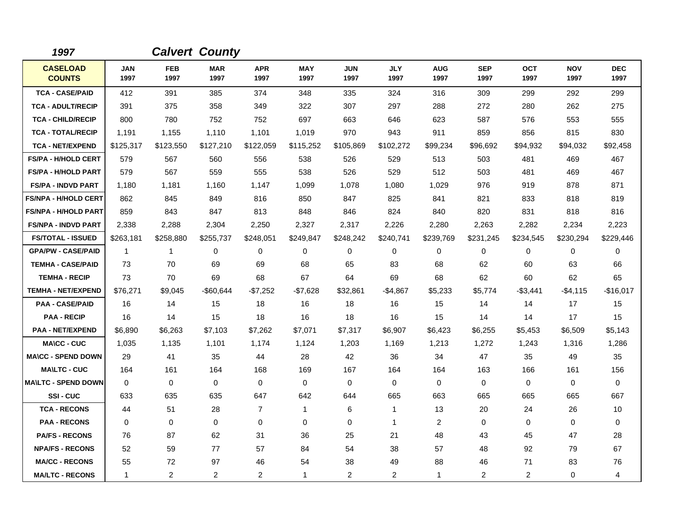| 1997                             |                    |                    | <b>Calvert County</b> |                    |                    |                    |                    |                    |                    |                    |                    |                    |
|----------------------------------|--------------------|--------------------|-----------------------|--------------------|--------------------|--------------------|--------------------|--------------------|--------------------|--------------------|--------------------|--------------------|
| <b>CASELOAD</b><br><b>COUNTS</b> | <b>JAN</b><br>1997 | <b>FEB</b><br>1997 | <b>MAR</b><br>1997    | <b>APR</b><br>1997 | <b>MAY</b><br>1997 | <b>JUN</b><br>1997 | <b>JLY</b><br>1997 | <b>AUG</b><br>1997 | <b>SEP</b><br>1997 | <b>OCT</b><br>1997 | <b>NOV</b><br>1997 | <b>DEC</b><br>1997 |
| <b>TCA - CASE/PAID</b>           | 412                | 391                | 385                   | 374                | 348                | 335                | 324                | 316                | 309                | 299                | 292                | 299                |
| <b>TCA - ADULT/RECIP</b>         | 391                | 375                | 358                   | 349                | 322                | 307                | 297                | 288                | 272                | 280                | 262                | 275                |
| <b>TCA - CHILD/RECIP</b>         | 800                | 780                | 752                   | 752                | 697                | 663                | 646                | 623                | 587                | 576                | 553                | 555                |
| <b>TCA - TOTAL/RECIP</b>         | 1,191              | 1,155              | 1,110                 | 1,101              | 1,019              | 970                | 943                | 911                | 859                | 856                | 815                | 830                |
| <b>TCA - NET/EXPEND</b>          | \$125,317          | \$123,550          | \$127,210             | \$122,059          | \$115,252          | \$105,869          | \$102,272          | \$99,234           | \$96,692           | \$94,932           | \$94,032           | \$92,458           |
| <b>FS/PA - H/HOLD CERT</b>       | 579                | 567                | 560                   | 556                | 538                | 526                | 529                | 513                | 503                | 481                | 469                | 467                |
| <b>FS/PA - H/HOLD PART</b>       | 579                | 567                | 559                   | 555                | 538                | 526                | 529                | 512                | 503                | 481                | 469                | 467                |
| <b>FS/PA - INDVD PART</b>        | 1,180              | 1,181              | 1,160                 | 1,147              | 1,099              | 1,078              | 1,080              | 1,029              | 976                | 919                | 878                | 871                |
| <b>FS/NPA - H/HOLD CERT</b>      | 862                | 845                | 849                   | 816                | 850                | 847                | 825                | 841                | 821                | 833                | 818                | 819                |
| <b>FS/NPA - H/HOLD PART</b>      | 859                | 843                | 847                   | 813                | 848                | 846                | 824                | 840                | 820                | 831                | 818                | 816                |
| <b>FS/NPA - INDVD PART</b>       | 2,338              | 2,288              | 2,304                 | 2,250              | 2,327              | 2,317              | 2,226              | 2,280              | 2,263              | 2,282              | 2,234              | 2,223              |
| <b>FS/TOTAL - ISSUED</b>         | \$263,181          | \$258,880          | \$255,737             | \$248,051          | \$249,847          | \$248,242          | \$240,741          | \$239,769          | \$231,245          | \$234,545          | \$230,294          | \$229,446          |
| <b>GPA/PW - CASE/PAID</b>        | $\overline{1}$     | 1                  | 0                     | 0                  | 0                  | 0                  | 0                  | 0                  | 0                  | 0                  | 0                  | 0                  |
| <b>TEMHA - CASE/PAID</b>         | 73                 | 70                 | 69                    | 69                 | 68                 | 65                 | 83                 | 68                 | 62                 | 60                 | 63                 | 66                 |
| <b>TEMHA - RECIP</b>             | 73                 | 70                 | 69                    | 68                 | 67                 | 64                 | 69                 | 68                 | 62                 | 60                 | 62                 | 65                 |
| <b>TEMHA - NET/EXPEND</b>        | \$76,271           | \$9,045            | -\$60,644             | $-$7,252$          | -\$7,628           | \$32,861           | -\$4,867           | \$5,233            | \$5,774            | $-$3,441$          | -\$4,115           | $-$16,017$         |
| <b>PAA - CASE/PAID</b>           | 16                 | 14                 | 15                    | 18                 | 16                 | 18                 | 16                 | 15                 | 14                 | 14                 | 17                 | 15                 |
| <b>PAA - RECIP</b>               | 16                 | 14                 | 15                    | 18                 | 16                 | 18                 | 16                 | 15                 | 14                 | 14                 | 17                 | 15                 |
| <b>PAA - NET/EXPEND</b>          | \$6,890            | \$6,263            | \$7,103               | \$7,262            | \$7,071            | \$7,317            | \$6.907            | \$6,423            | \$6,255            | \$5,453            | \$6,509            | \$5,143            |
| <b>MA\CC - CUC</b>               | 1,035              | 1,135              | 1,101                 | 1,174              | 1,124              | 1,203              | 1,169              | 1,213              | 1,272              | 1,243              | 1,316              | 1,286              |
| <b>MA\CC - SPEND DOWN</b>        | 29                 | 41                 | 35                    | 44                 | 28                 | 42                 | 36                 | 34                 | 47                 | 35                 | 49                 | 35                 |
| <b>MA\LTC - CUC</b>              | 164                | 161                | 164                   | 168                | 169                | 167                | 164                | 164                | 163                | 166                | 161                | 156                |
| <b>MA\LTC - SPEND DOWN</b>       | $\mathbf 0$        | 0                  | 0                     | 0                  | 0                  | $\mathbf 0$        | $\mathbf 0$        | 0                  | 0                  | 0                  | 0                  | $\mathbf 0$        |
| <b>SSI-CUC</b>                   | 633                | 635                | 635                   | 647                | 642                | 644                | 665                | 663                | 665                | 665                | 665                | 667                |
| <b>TCA - RECONS</b>              | 44                 | 51                 | 28                    | $\overline{7}$     | $\mathbf{1}$       | 6                  | $\mathbf{1}$       | 13                 | 20                 | 24                 | 26                 | 10                 |
| <b>PAA - RECONS</b>              | $\Omega$           | 0                  | 0                     | 0                  | $\mathbf 0$        | 0                  | $\mathbf{1}$       | 2                  | 0                  | 0                  | 0                  | $\mathbf 0$        |
| <b>PA/FS - RECONS</b>            | 76                 | 87                 | 62                    | 31                 | 36                 | 25                 | 21                 | 48                 | 43                 | 45                 | 47                 | 28                 |
| <b>NPA/FS - RECONS</b>           | 52                 | 59                 | 77                    | 57                 | 84                 | 54                 | 38                 | 57                 | 48                 | 92                 | 79                 | 67                 |
| <b>MA/CC - RECONS</b>            | 55                 | 72                 | 97                    | 46                 | 54                 | 38                 | 49                 | 88                 | 46                 | 71                 | 83                 | 76                 |
| <b>MA/LTC - RECONS</b>           | $\mathbf 1$        | $\overline{2}$     | $\overline{2}$        | $\overline{2}$     | $\mathbf{1}$       | $\overline{c}$     | $\overline{2}$     | $\mathbf{1}$       | 2                  | $\overline{2}$     | 0                  | 4                  |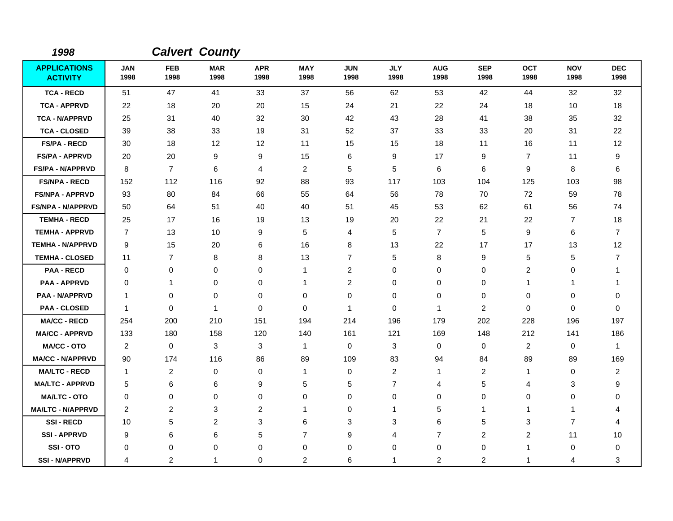| 1998                                   |                    |                    | <b>Calvert County</b> |                    |                    |                    |                    |                    |                    |                    |                    |                    |
|----------------------------------------|--------------------|--------------------|-----------------------|--------------------|--------------------|--------------------|--------------------|--------------------|--------------------|--------------------|--------------------|--------------------|
| <b>APPLICATIONS</b><br><b>ACTIVITY</b> | <b>JAN</b><br>1998 | <b>FEB</b><br>1998 | <b>MAR</b><br>1998    | <b>APR</b><br>1998 | <b>MAY</b><br>1998 | <b>JUN</b><br>1998 | <b>JLY</b><br>1998 | <b>AUG</b><br>1998 | <b>SEP</b><br>1998 | <b>OCT</b><br>1998 | <b>NOV</b><br>1998 | <b>DEC</b><br>1998 |
| <b>TCA - RECD</b>                      | 51                 | 47                 | 41                    | 33                 | 37                 | 56                 | 62                 | 53                 | 42                 | 44                 | 32                 | 32                 |
| <b>TCA - APPRVD</b>                    | 22                 | 18                 | 20                    | 20                 | 15                 | 24                 | 21                 | 22                 | 24                 | 18                 | 10                 | 18                 |
| <b>TCA - N/APPRVD</b>                  | 25                 | 31                 | 40                    | 32                 | 30                 | 42                 | 43                 | 28                 | 41                 | 38                 | 35                 | 32                 |
| <b>TCA - CLOSED</b>                    | 39                 | 38                 | 33                    | 19                 | 31                 | 52                 | 37                 | 33                 | 33                 | 20                 | 31                 | 22                 |
| <b>FS/PA - RECD</b>                    | 30                 | 18                 | 12                    | 12                 | 11                 | 15                 | 15                 | 18                 | 11                 | 16                 | 11                 | 12                 |
| <b>FS/PA - APPRVD</b>                  | 20                 | 20                 | 9                     | 9                  | 15                 | 6                  | 9                  | 17                 | 9                  | $\overline{7}$     | 11                 | 9                  |
| <b>FS/PA - N/APPRVD</b>                | 8                  | $\overline{7}$     | 6                     | 4                  | $\overline{c}$     | 5                  | 5                  | 6                  | 6                  | 9                  | 8                  | 6                  |
| <b>FS/NPA - RECD</b>                   | 152                | 112                | 116                   | 92                 | 88                 | 93                 | 117                | 103                | 104                | 125                | 103                | 98                 |
| <b>FS/NPA - APPRVD</b>                 | 93                 | 80                 | 84                    | 66                 | 55                 | 64                 | 56                 | 78                 | 70                 | 72                 | 59                 | 78                 |
| <b>FS/NPA - N/APPRVD</b>               | 50                 | 64                 | 51                    | 40                 | 40                 | 51                 | 45                 | 53                 | 62                 | 61                 | 56                 | 74                 |
| <b>TEMHA - RECD</b>                    | 25                 | 17                 | 16                    | 19                 | 13                 | 19                 | 20                 | 22                 | 21                 | 22                 | 7                  | 18                 |
| <b>TEMHA - APPRVD</b>                  | $\overline{7}$     | 13                 | 10                    | 9                  | 5                  | 4                  | 5                  | $\overline{7}$     | 5                  | 9                  | 6                  | $\overline{7}$     |
| <b>TEMHA - N/APPRVD</b>                | 9                  | 15                 | 20                    | 6                  | 16                 | 8                  | 13                 | 22                 | 17                 | 17                 | 13                 | 12                 |
| <b>TEMHA - CLOSED</b>                  | 11                 | $\overline{7}$     | 8                     | 8                  | 13                 | $\overline{7}$     | 5                  | 8                  | 9                  | 5                  | 5                  | $\overline{7}$     |
| <b>PAA - RECD</b>                      | 0                  | 0                  | 0                     | 0                  | $\mathbf{1}$       | $\overline{c}$     | 0                  | 0                  | 0                  | 2                  | 0                  | 1                  |
| <b>PAA - APPRVD</b>                    | 0                  | 1                  | 0                     | 0                  | 1                  | $\overline{c}$     | 0                  | 0                  | $\mathbf 0$        | 1                  | 1                  | 1                  |
| <b>PAA - N/APPRVD</b>                  | 1                  | 0                  | 0                     | 0                  | 0                  | $\mathbf 0$        | 0                  | 0                  | 0                  | 0                  | 0                  | $\Omega$           |
| <b>PAA - CLOSED</b>                    | 1                  | $\mathbf 0$        | $\mathbf{1}$          | $\Omega$           | $\mathbf 0$        | 1                  | $\mathbf 0$        | 1                  | $\overline{2}$     | 0                  | $\mathbf 0$        | $\Omega$           |
| <b>MA/CC - RECD</b>                    | 254                | 200                | 210                   | 151                | 194                | 214                | 196                | 179                | 202                | 228                | 196                | 197                |
| <b>MA/CC - APPRVD</b>                  | 133                | 180                | 158                   | 120                | 140                | 161                | 121                | 169                | 148                | 212                | 141                | 186                |
| <b>MA/CC - OTO</b>                     | $\overline{2}$     | 0                  | 3                     | 3                  | $\mathbf{1}$       | 0                  | 3                  | 0                  | 0                  | 2                  | 0                  | $\overline{1}$     |
| <b>MA/CC - N/APPRVD</b>                | 90                 | 174                | 116                   | 86                 | 89                 | 109                | 83                 | 94                 | 84                 | 89                 | 89                 | 169                |
| <b>MA/LTC - RECD</b>                   | 1                  | $\overline{2}$     | 0                     | $\mathbf 0$        | $\mathbf{1}$       | $\mathbf 0$        | $\overline{2}$     | 1                  | $\overline{2}$     | $\mathbf{1}$       | 0                  | $\overline{2}$     |
| <b>MA/LTC - APPRVD</b>                 | 5                  | 6                  | 6                     | 9                  | 5                  | 5                  | $\overline{7}$     | 4                  | 5                  | 4                  | 3                  | 9                  |
| <b>MA/LTC - OTO</b>                    | 0                  | 0                  | 0                     | $\mathbf 0$        | 0                  | 0                  | 0                  | 0                  | $\mathbf 0$        | 0                  | 0                  | 0                  |
| <b>MA/LTC - N/APPRVD</b>               | 2                  | 2                  | 3                     | 2                  | $\mathbf 1$        | $\Omega$           | 1                  | 5                  | $\mathbf 1$        | 1                  | 1                  | 4                  |
| <b>SSI-RECD</b>                        | 10                 | 5                  | 2                     | 3                  | 6                  | 3                  | 3                  | 6                  | 5                  | 3                  | $\overline{7}$     | 4                  |
| <b>SSI-APPRVD</b>                      | 9                  | 6                  | 6                     | 5                  | $\overline{7}$     | 9                  | 4                  | 7                  | $\overline{2}$     | $\overline{c}$     | 11                 | 10                 |
| SSI-OTO                                | 0                  | 0                  | 0                     | 0                  | 0                  | 0                  | 0                  | 0                  | $\mathbf 0$        | 1                  | 0                  | 0                  |
| <b>SSI - N/APPRVD</b>                  | 4                  | 2                  | 1                     | 0                  | 2                  | 6                  | 1                  | 2                  | 2                  | 1                  | 4                  | 3                  |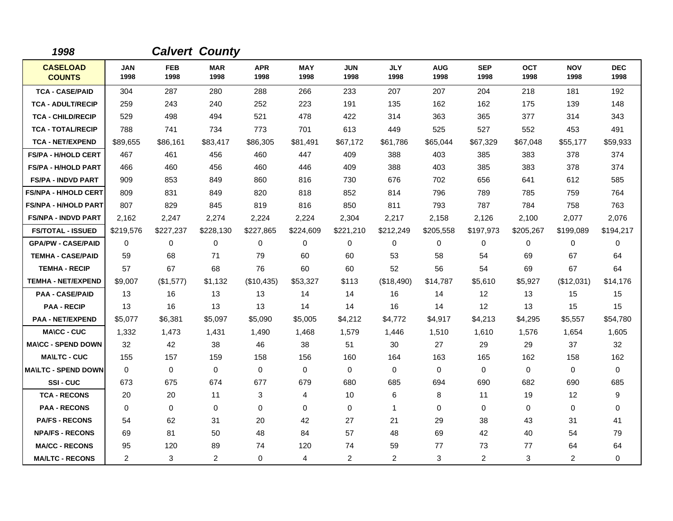| 1998                             |                    |                    | <b>Calvert County</b> |                    |                    |                    |                    |                    |                    |                    |                    |                    |
|----------------------------------|--------------------|--------------------|-----------------------|--------------------|--------------------|--------------------|--------------------|--------------------|--------------------|--------------------|--------------------|--------------------|
| <b>CASELOAD</b><br><b>COUNTS</b> | <b>JAN</b><br>1998 | <b>FEB</b><br>1998 | <b>MAR</b><br>1998    | <b>APR</b><br>1998 | <b>MAY</b><br>1998 | <b>JUN</b><br>1998 | <b>JLY</b><br>1998 | <b>AUG</b><br>1998 | <b>SEP</b><br>1998 | <b>OCT</b><br>1998 | <b>NOV</b><br>1998 | <b>DEC</b><br>1998 |
| <b>TCA - CASE/PAID</b>           | 304                | 287                | 280                   | 288                | 266                | 233                | 207                | 207                | 204                | 218                | 181                | 192                |
| <b>TCA - ADULT/RECIP</b>         | 259                | 243                | 240                   | 252                | 223                | 191                | 135                | 162                | 162                | 175                | 139                | 148                |
| <b>TCA - CHILD/RECIP</b>         | 529                | 498                | 494                   | 521                | 478                | 422                | 314                | 363                | 365                | 377                | 314                | 343                |
| <b>TCA - TOTAL/RECIP</b>         | 788                | 741                | 734                   | 773                | 701                | 613                | 449                | 525                | 527                | 552                | 453                | 491                |
| <b>TCA - NET/EXPEND</b>          | \$89,655           | \$86.161           | \$83,417              | \$86,305           | \$81,491           | \$67,172           | \$61,786           | \$65,044           | \$67,329           | \$67,048           | \$55,177           | \$59,933           |
| <b>FS/PA - H/HOLD CERT</b>       | 467                | 461                | 456                   | 460                | 447                | 409                | 388                | 403                | 385                | 383                | 378                | 374                |
| <b>FS/PA - H/HOLD PART</b>       | 466                | 460                | 456                   | 460                | 446                | 409                | 388                | 403                | 385                | 383                | 378                | 374                |
| <b>FS/PA - INDVD PART</b>        | 909                | 853                | 849                   | 860                | 816                | 730                | 676                | 702                | 656                | 641                | 612                | 585                |
| <b>FS/NPA - H/HOLD CERT</b>      | 809                | 831                | 849                   | 820                | 818                | 852                | 814                | 796                | 789                | 785                | 759                | 764                |
| <b>FS/NPA - H/HOLD PART</b>      | 807                | 829                | 845                   | 819                | 816                | 850                | 811                | 793                | 787                | 784                | 758                | 763                |
| <b>FS/NPA - INDVD PART</b>       | 2,162              | 2,247              | 2,274                 | 2,224              | 2,224              | 2,304              | 2,217              | 2,158              | 2,126              | 2,100              | 2,077              | 2,076              |
| <b>FS/TOTAL - ISSUED</b>         | \$219,576          | \$227,237          | \$228,130             | \$227,865          | \$224,609          | \$221,210          | \$212,249          | \$205,558          | \$197,973          | \$205,267          | \$199,089          | \$194,217          |
| <b>GPA/PW - CASE/PAID</b>        | $\mathbf 0$        | 0                  | $\mathbf 0$           | 0                  | 0                  | 0                  | 0                  | 0                  | 0                  | 0                  | $\mathbf 0$        | 0                  |
| <b>TEMHA - CASE/PAID</b>         | 59                 | 68                 | 71                    | 79                 | 60                 | 60                 | 53                 | 58                 | 54                 | 69                 | 67                 | 64                 |
| <b>TEMHA - RECIP</b>             | 57                 | 67                 | 68                    | 76                 | 60                 | 60                 | 52                 | 56                 | 54                 | 69                 | 67                 | 64                 |
| <b>TEMHA - NET/EXPEND</b>        | \$9,007            | (\$1,577)          | \$1,132               | (\$10,435)         | \$53,327           | \$113              | (\$18,490)         | \$14,787           | \$5,610            | \$5,927            | (\$12,031)         | \$14,176           |
| <b>PAA - CASE/PAID</b>           | 13                 | 16                 | 13                    | 13                 | 14                 | 14                 | 16                 | 14                 | 12                 | 13                 | 15                 | 15                 |
| <b>PAA - RECIP</b>               | 13                 | 16                 | 13                    | 13                 | 14                 | 14                 | 16                 | 14                 | 12                 | 13                 | 15                 | 15                 |
| <b>PAA - NET/EXPEND</b>          | \$5,077            | \$6,381            | \$5,097               | \$5,090            | \$5,005            | \$4,212            | \$4,772            | \$4,917            | \$4,213            | \$4,295            | \$5,557            | \$54,780           |
| <b>MA\CC - CUC</b>               | 1,332              | 1,473              | 1,431                 | 1,490              | 1,468              | 1,579              | 1,446              | 1,510              | 1,610              | 1,576              | 1,654              | 1,605              |
| <b>MA\CC - SPEND DOWN</b>        | 32                 | 42                 | 38                    | 46                 | 38                 | 51                 | 30                 | 27                 | 29                 | 29                 | 37                 | 32                 |
| <b>MAILTC - CUC</b>              | 155                | 157                | 159                   | 158                | 156                | 160                | 164                | 163                | 165                | 162                | 158                | 162                |
| <b>MAILTC - SPEND DOWN</b>       | $\mathbf 0$        | $\mathbf 0$        | $\mathbf 0$           | $\mathbf 0$        | $\mathbf 0$        | $\Omega$           | $\mathbf 0$        | $\mathbf 0$        | $\Omega$           | 0                  | $\mathbf 0$        | $\mathbf 0$        |
| SSI-CUC                          | 673                | 675                | 674                   | 677                | 679                | 680                | 685                | 694                | 690                | 682                | 690                | 685                |
| <b>TCA - RECONS</b>              | 20                 | 20                 | 11                    | 3                  | 4                  | 10                 | 6                  | 8                  | 11                 | 19                 | 12                 | 9                  |
| <b>PAA - RECONS</b>              | $\Omega$           | 0                  | $\mathbf{0}$          | 0                  | 0                  | $\Omega$           | $\mathbf{1}$       | 0                  | $\mathbf 0$        | $\Omega$           | $\mathbf 0$        | 0                  |
| <b>PA/FS - RECONS</b>            | 54                 | 62                 | 31                    | 20                 | 42                 | 27                 | 21                 | 29                 | 38                 | 43                 | 31                 | 41                 |
| <b>NPA/FS - RECONS</b>           | 69                 | 81                 | 50                    | 48                 | 84                 | 57                 | 48                 | 69                 | 42                 | 40                 | 54                 | 79                 |
| <b>MA/CC - RECONS</b>            | 95                 | 120                | 89                    | 74                 | 120                | 74                 | 59                 | 77                 | 73                 | 77                 | 64                 | 64                 |
| <b>MA/LTC - RECONS</b>           | $\overline{2}$     | 3                  | $\overline{2}$        | 0                  | 4                  | $\overline{c}$     | $\overline{2}$     | 3                  | $\overline{c}$     | 3                  | 2                  | $\mathbf 0$        |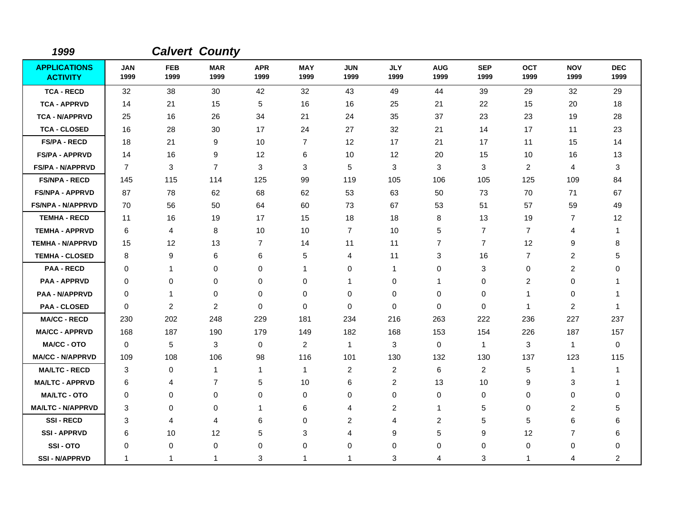| 1999                                   |                    | <b>Calvert County</b> |                    |                    |                    |                         |                    |                    |                    |                    |                    |                    |
|----------------------------------------|--------------------|-----------------------|--------------------|--------------------|--------------------|-------------------------|--------------------|--------------------|--------------------|--------------------|--------------------|--------------------|
| <b>APPLICATIONS</b><br><b>ACTIVITY</b> | <b>JAN</b><br>1999 | <b>FEB</b><br>1999    | <b>MAR</b><br>1999 | <b>APR</b><br>1999 | <b>MAY</b><br>1999 | <b>JUN</b><br>1999      | <b>JLY</b><br>1999 | <b>AUG</b><br>1999 | <b>SEP</b><br>1999 | <b>OCT</b><br>1999 | <b>NOV</b><br>1999 | <b>DEC</b><br>1999 |
| <b>TCA - RECD</b>                      | 32                 | 38                    | 30                 | 42                 | 32                 | 43                      | 49                 | 44                 | 39                 | 29                 | 32                 | 29                 |
| <b>TCA - APPRVD</b>                    | 14                 | 21                    | 15                 | 5                  | 16                 | 16                      | 25                 | 21                 | 22                 | 15                 | 20                 | 18                 |
| <b>TCA - N/APPRVD</b>                  | 25                 | 16                    | 26                 | 34                 | 21                 | 24                      | 35                 | 37                 | 23                 | 23                 | 19                 | 28                 |
| <b>TCA - CLOSED</b>                    | 16                 | 28                    | 30                 | 17                 | 24                 | 27                      | 32                 | 21                 | 14                 | 17                 | 11                 | 23                 |
| <b>FS/PA - RECD</b>                    | 18                 | 21                    | 9                  | 10                 | $\overline{7}$     | 12                      | 17                 | 21                 | 17                 | 11                 | 15                 | 14                 |
| <b>FS/PA - APPRVD</b>                  | 14                 | 16                    | 9                  | 12                 | 6                  | 10                      | 12                 | 20                 | 15                 | 10                 | 16                 | 13                 |
| <b>FS/PA - N/APPRVD</b>                | $\overline{7}$     | 3                     | $\overline{7}$     | 3                  | 3                  | 5                       | 3                  | 3                  | 3                  | 2                  | 4                  | 3                  |
| <b>FS/NPA - RECD</b>                   | 145                | 115                   | 114                | 125                | 99                 | 119                     | 105                | 106                | 105                | 125                | 109                | 84                 |
| <b>FS/NPA - APPRVD</b>                 | 87                 | 78                    | 62                 | 68                 | 62                 | 53                      | 63                 | 50                 | 73                 | 70                 | 71                 | 67                 |
| <b>FS/NPA - N/APPRVD</b>               | 70                 | 56                    | 50                 | 64                 | 60                 | 73                      | 67                 | 53                 | 51                 | 57                 | 59                 | 49                 |
| <b>TEMHA - RECD</b>                    | 11                 | 16                    | 19                 | 17                 | 15                 | 18                      | 18                 | 8                  | 13                 | 19                 | 7                  | 12                 |
| <b>TEMHA - APPRVD</b>                  | 6                  | 4                     | 8                  | 10                 | 10                 | $\overline{7}$          | 10                 | 5                  | $\overline{7}$     | $\overline{7}$     | 4                  | -1                 |
| <b>TEMHA - N/APPRVD</b>                | 15                 | 12                    | 13                 | 7                  | 14                 | 11                      | 11                 | $\overline{7}$     | $\overline{7}$     | 12                 | 9                  | 8                  |
| <b>TEMHA - CLOSED</b>                  | 8                  | 9                     | 6                  | 6                  | 5                  | 4                       | 11                 | 3                  | 16                 | $\overline{7}$     | $\overline{c}$     | 5                  |
| <b>PAA - RECD</b>                      | 0                  | 1                     | 0                  | 0                  | $\mathbf{1}$       | 0                       | $\mathbf 1$        | 0                  | 3                  | 0                  | 2                  | $\Omega$           |
| <b>PAA - APPRVD</b>                    | 0                  | $\mathbf 0$           | 0                  | 0                  | $\mathbf 0$        | 1                       | $\mathbf 0$        | 1                  | $\mathbf 0$        | 2                  | 0                  | 1                  |
| <b>PAA - N/APPRVD</b>                  | 0                  | $\mathbf{1}$          | 0                  | 0                  | $\mathbf 0$        | 0                       | 0                  | 0                  | 0                  | $\mathbf{1}$       | 0                  | 1                  |
| <b>PAA - CLOSED</b>                    | $\Omega$           | 2                     | 2                  | 0                  | $\mathbf 0$        | $\Omega$                | 0                  | 0                  | $\Omega$           | $\mathbf{1}$       | $\overline{2}$     | -1                 |
| <b>MA/CC - RECD</b>                    | 230                | 202                   | 248                | 229                | 181                | 234                     | 216                | 263                | 222                | 236                | 227                | 237                |
| <b>MA/CC - APPRVD</b>                  | 168                | 187                   | 190                | 179                | 149                | 182                     | 168                | 153                | 154                | 226                | 187                | 157                |
| <b>MA/CC - OTO</b>                     | $\mathbf 0$        | 5                     | 3                  | $\mathbf 0$        | $\overline{2}$     | $\mathbf{1}$            | 3                  | 0                  | $\mathbf{1}$       | 3                  | $\mathbf{1}$       | 0                  |
| <b>MA/CC - N/APPRVD</b>                | 109                | 108                   | 106                | 98                 | 116                | 101                     | 130                | 132                | 130                | 137                | 123                | 115                |
| <b>MA/LTC - RECD</b>                   | 3                  | 0                     | $\mathbf{1}$       | 1                  | $\mathbf{1}$       | $\overline{\mathbf{c}}$ | $\overline{c}$     | 6                  | $\overline{2}$     | 5                  | 1                  | $\overline{1}$     |
| <b>MA/LTC - APPRVD</b>                 | 6                  | 4                     | $\overline{7}$     | 5                  | 10                 | 6                       | $\overline{c}$     | 13                 | 10                 | 9                  | 3                  | -1                 |
| <b>MA/LTC - OTO</b>                    | 0                  | 0                     | 0                  | 0                  | 0                  | 0                       | $\mathbf 0$        | 0                  | 0                  | 0                  | 0                  | 0                  |
| <b>MA/LTC - N/APPRVD</b>               | 3                  | $\Omega$              | 0                  | 1                  | 6                  | 4                       | 2                  | 1                  | 5                  | 0                  | 2                  | 5                  |
| <b>SSI-RECD</b>                        | 3                  | 4                     | $\overline{4}$     | 6                  | $\mathbf 0$        | $\overline{c}$          | 4                  | $\overline{c}$     | 5                  | 5                  | 6                  | 6                  |
| <b>SSI - APPRVD</b>                    | 6                  | 10                    | 12                 | 5                  | 3                  | 4                       | 9                  | 5                  | 9                  | 12                 | $\overline{7}$     | 6                  |
| SSI-OTO                                | 0                  | 0                     | 0                  | 0                  | $\mathbf 0$        | 0                       | 0                  | 0                  | $\mathbf 0$        | 0                  | 0                  | 0                  |
| <b>SSI-N/APPRVD</b>                    | 1                  | $\mathbf{1}$          | $\mathbf{1}$       | 3                  | 1                  | 1                       | 3                  | 4                  | 3                  | 1                  | 4                  | $\overline{c}$     |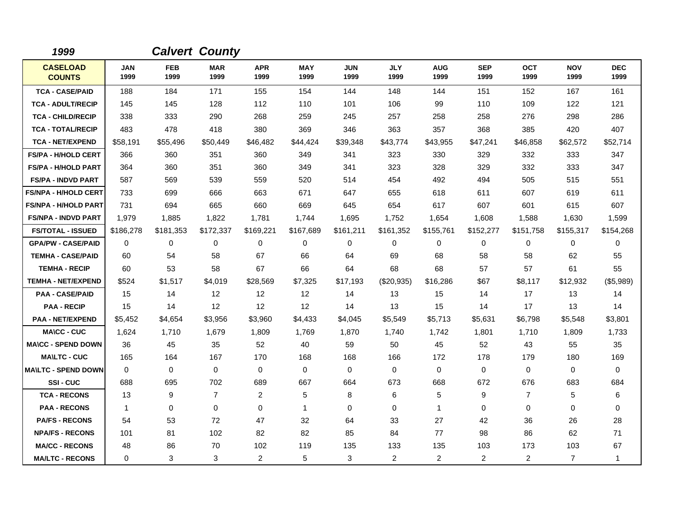| 1999                             |                    |                    | <b>Calvert County</b> |                    |                    |                    |                    |                    |                    |                    |                    |                    |
|----------------------------------|--------------------|--------------------|-----------------------|--------------------|--------------------|--------------------|--------------------|--------------------|--------------------|--------------------|--------------------|--------------------|
| <b>CASELOAD</b><br><b>COUNTS</b> | <b>JAN</b><br>1999 | <b>FEB</b><br>1999 | <b>MAR</b><br>1999    | <b>APR</b><br>1999 | <b>MAY</b><br>1999 | <b>JUN</b><br>1999 | <b>JLY</b><br>1999 | <b>AUG</b><br>1999 | <b>SEP</b><br>1999 | <b>OCT</b><br>1999 | <b>NOV</b><br>1999 | <b>DEC</b><br>1999 |
| <b>TCA - CASE/PAID</b>           | 188                | 184                | 171                   | 155                | 154                | 144                | 148                | 144                | 151                | 152                | 167                | 161                |
| <b>TCA - ADULT/RECIP</b>         | 145                | 145                | 128                   | 112                | 110                | 101                | 106                | 99                 | 110                | 109                | 122                | 121                |
| <b>TCA - CHILD/RECIP</b>         | 338                | 333                | 290                   | 268                | 259                | 245                | 257                | 258                | 258                | 276                | 298                | 286                |
| <b>TCA - TOTAL/RECIP</b>         | 483                | 478                | 418                   | 380                | 369                | 346                | 363                | 357                | 368                | 385                | 420                | 407                |
| <b>TCA - NET/EXPEND</b>          | \$58,191           | \$55,496           | \$50,449              | \$46,482           | \$44,424           | \$39,348           | \$43,774           | \$43,955           | \$47,241           | \$46,858           | \$62,572           | \$52,714           |
| <b>FS/PA - H/HOLD CERT</b>       | 366                | 360                | 351                   | 360                | 349                | 341                | 323                | 330                | 329                | 332                | 333                | 347                |
| <b>FS/PA - H/HOLD PART</b>       | 364                | 360                | 351                   | 360                | 349                | 341                | 323                | 328                | 329                | 332                | 333                | 347                |
| <b>FS/PA - INDVD PART</b>        | 587                | 569                | 539                   | 559                | 520                | 514                | 454                | 492                | 494                | 505                | 515                | 551                |
| <b>FS/NPA - H/HOLD CERT</b>      | 733                | 699                | 666                   | 663                | 671                | 647                | 655                | 618                | 611                | 607                | 619                | 611                |
| <b>FS/NPA - H/HOLD PART</b>      | 731                | 694                | 665                   | 660                | 669                | 645                | 654                | 617                | 607                | 601                | 615                | 607                |
| <b>FS/NPA - INDVD PART</b>       | 1,979              | 1,885              | 1,822                 | 1,781              | 1,744              | 1,695              | 1,752              | 1,654              | 1,608              | 1,588              | 1,630              | 1,599              |
| <b>FS/TOTAL - ISSUED</b>         | \$186,278          | \$181,353          | \$172,337             | \$169,221          | \$167,689          | \$161,211          | \$161,352          | \$155,761          | \$152,277          | \$151,758          | \$155,317          | \$154,268          |
| <b>GPA/PW - CASE/PAID</b>        | $\Omega$           | $\Omega$           | $\Omega$              | 0                  | 0                  | $\Omega$           | $\Omega$           | 0                  | $\Omega$           | $\Omega$           | 0                  | $\Omega$           |
| <b>TEMHA - CASE/PAID</b>         | 60                 | 54                 | 58                    | 67                 | 66                 | 64                 | 69                 | 68                 | 58                 | 58                 | 62                 | 55                 |
| <b>TEMHA - RECIP</b>             | 60                 | 53                 | 58                    | 67                 | 66                 | 64                 | 68                 | 68                 | 57                 | 57                 | 61                 | 55                 |
| <b>TEMHA - NET/EXPEND</b>        | \$524              | \$1,517            | \$4,019               | \$28,569           | \$7,325            | \$17,193           | (\$20,935)         | \$16,286           | \$67               | \$8,117            | \$12,932           | (\$5,989)          |
| <b>PAA - CASE/PAID</b>           | 15                 | 14                 | 12                    | 12                 | 12                 | 14                 | 13                 | 15                 | 14                 | 17                 | 13                 | 14                 |
| <b>PAA - RECIP</b>               | 15                 | 14                 | 12                    | 12                 | 12                 | 14                 | 13                 | 15                 | 14                 | 17                 | 13                 | 14                 |
| <b>PAA - NET/EXPEND</b>          | \$5,452            | \$4,654            | \$3,956               | \$3,960            | \$4,433            | \$4,045            | \$5,549            | \$5,713            | \$5,631            | \$6,798            | \$5,548            | \$3,801            |
| <b>MA\CC - CUC</b>               | 1.624              | 1,710              | 1,679                 | 1,809              | 1,769              | 1,870              | 1,740              | 1,742              | 1,801              | 1,710              | 1,809              | 1,733              |
| <b>MA\CC - SPEND DOWN</b>        | 36                 | 45                 | 35                    | 52                 | 40                 | 59                 | 50                 | 45                 | 52                 | 43                 | 55                 | 35                 |
| <b>MA\LTC - CUC</b>              | 165                | 164                | 167                   | 170                | 168                | 168                | 166                | 172                | 178                | 179                | 180                | 169                |
| <b>MAILTC - SPEND DOWN</b>       | $\Omega$           | $\Omega$           | $\Omega$              | $\Omega$           | 0                  | $\Omega$           | $\Omega$           | 0                  | $\Omega$           | $\Omega$           | $\mathbf 0$        | 0                  |
| SSI-CUC                          | 688                | 695                | 702                   | 689                | 667                | 664                | 673                | 668                | 672                | 676                | 683                | 684                |
| <b>TCA - RECONS</b>              | 13                 | 9                  | $\overline{7}$        | $\overline{2}$     | 5                  | 8                  | 6                  | 5                  | 9                  | $\overline{7}$     | 5                  | 6                  |
| <b>PAA - RECONS</b>              | $\overline{1}$     | $\Omega$           | $\mathbf{0}$          | $\Omega$           | $\mathbf 1$        | $\Omega$           | $\Omega$           | $\mathbf 1$        | $\Omega$           | $\Omega$           | $\mathbf{0}$       | 0                  |
| <b>PA/FS - RECONS</b>            | 54                 | 53                 | 72                    | 47                 | 32                 | 64                 | 33                 | 27                 | 42                 | 36                 | 26                 | 28                 |
| <b>NPA/FS - RECONS</b>           | 101                | 81                 | 102                   | 82                 | 82                 | 85                 | 84                 | 77                 | 98                 | 86                 | 62                 | 71                 |
| <b>MA/CC - RECONS</b>            | 48                 | 86                 | 70                    | 102                | 119                | 135                | 133                | 135                | 103                | 173                | 103                | 67                 |
| <b>MA/LTC - RECONS</b>           | 0                  | 3                  | 3                     | $\overline{2}$     | 5                  | 3                  | $\overline{2}$     | $\overline{2}$     | 2                  | $\overline{2}$     | $\overline{7}$     | $\mathbf{1}$       |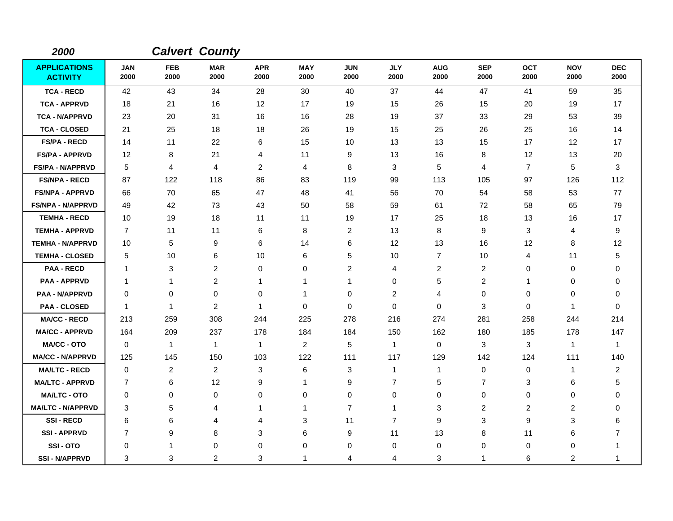| 2000                                   |                    |                    | <b>Calvert County</b> |                    |                    |                    |                    |                    |                    |                    |                    |                    |
|----------------------------------------|--------------------|--------------------|-----------------------|--------------------|--------------------|--------------------|--------------------|--------------------|--------------------|--------------------|--------------------|--------------------|
| <b>APPLICATIONS</b><br><b>ACTIVITY</b> | <b>JAN</b><br>2000 | <b>FEB</b><br>2000 | <b>MAR</b><br>2000    | <b>APR</b><br>2000 | <b>MAY</b><br>2000 | <b>JUN</b><br>2000 | <b>JLY</b><br>2000 | <b>AUG</b><br>2000 | <b>SEP</b><br>2000 | <b>OCT</b><br>2000 | <b>NOV</b><br>2000 | <b>DEC</b><br>2000 |
| <b>TCA - RECD</b>                      | 42                 | 43                 | 34                    | 28                 | 30                 | 40                 | 37                 | 44                 | 47                 | 41                 | 59                 | 35                 |
| <b>TCA - APPRVD</b>                    | 18                 | 21                 | 16                    | 12                 | 17                 | 19                 | 15                 | 26                 | 15                 | 20                 | 19                 | 17                 |
| <b>TCA - N/APPRVD</b>                  | 23                 | 20                 | 31                    | 16                 | 16                 | 28                 | 19                 | 37                 | 33                 | 29                 | 53                 | 39                 |
| <b>TCA - CLOSED</b>                    | 21                 | 25                 | 18                    | 18                 | 26                 | 19                 | 15                 | 25                 | 26                 | 25                 | 16                 | 14                 |
| <b>FS/PA - RECD</b>                    | 14                 | 11                 | 22                    | 6                  | 15                 | 10                 | 13                 | 13                 | 15                 | 17                 | 12                 | 17                 |
| <b>FS/PA - APPRVD</b>                  | 12                 | 8                  | 21                    | 4                  | 11                 | 9                  | 13                 | 16                 | 8                  | 12                 | 13                 | 20                 |
| <b>FS/PA - N/APPRVD</b>                | 5                  | 4                  | $\overline{4}$        | $\overline{c}$     | 4                  | 8                  | 3                  | 5                  | 4                  | $\overline{7}$     | 5                  | 3                  |
| <b>FS/NPA - RECD</b>                   | 87                 | 122                | 118                   | 86                 | 83                 | 119                | 99                 | 113                | 105                | 97                 | 126                | 112                |
| <b>FS/NPA - APPRVD</b>                 | 66                 | 70                 | 65                    | 47                 | 48                 | 41                 | 56                 | 70                 | 54                 | 58                 | 53                 | 77                 |
| <b>FS/NPA - N/APPRVD</b>               | 49                 | 42                 | 73                    | 43                 | 50                 | 58                 | 59                 | 61                 | 72                 | 58                 | 65                 | 79                 |
| <b>TEMHA - RECD</b>                    | 10                 | 19                 | 18                    | 11                 | 11                 | 19                 | 17                 | 25                 | 18                 | 13                 | 16                 | 17                 |
| <b>TEMHA - APPRVD</b>                  | $\overline{7}$     | 11                 | 11                    | 6                  | 8                  | $\overline{c}$     | 13                 | 8                  | 9                  | 3                  | $\overline{4}$     | 9                  |
| <b>TEMHA - N/APPRVD</b>                | 10                 | 5                  | 9                     | 6                  | 14                 | 6                  | $12 \,$            | 13                 | 16                 | 12                 | 8                  | 12                 |
| <b>TEMHA - CLOSED</b>                  | 5                  | 10                 | 6                     | 10                 | 6                  | 5                  | 10                 | $\overline{7}$     | 10                 | 4                  | 11                 | 5                  |
| <b>PAA - RECD</b>                      | -1                 | 3                  | $\overline{2}$        | 0                  | 0                  | $\overline{c}$     | 4                  | $\overline{c}$     | $\overline{c}$     | 0                  | 0                  | 0                  |
| <b>PAA - APPRVD</b>                    | $\mathbf 1$        | 1                  | $\overline{c}$        | 1                  | 1                  | 1                  | 0                  | 5                  | $\overline{2}$     | $\mathbf{1}$       | 0                  | 0                  |
| <b>PAA - N/APPRVD</b>                  | $\mathbf 0$        | 0                  | $\mathbf 0$           | $\mathbf 0$        | 1                  | 0                  | 2                  | 4                  | 0                  | 0                  | 0                  | $\Omega$           |
| <b>PAA - CLOSED</b>                    | -1                 | 1                  | $\overline{2}$        | 1                  | $\mathbf 0$        | $\mathbf 0$        | $\mathbf 0$        | 0                  | 3                  | 0                  | 1                  | 0                  |
| <b>MA/CC - RECD</b>                    | 213                | 259                | 308                   | 244                | 225                | 278                | 216                | 274                | 281                | 258                | 244                | 214                |
| <b>MA/CC - APPRVD</b>                  | 164                | 209                | 237                   | 178                | 184                | 184                | 150                | 162                | 180                | 185                | 178                | 147                |
| <b>MA/CC - OTO</b>                     | $\mathbf 0$        | 1                  | $\mathbf{1}$          | $\mathbf{1}$       | $\overline{2}$     | 5                  | $\mathbf{1}$       | 0                  | 3                  | 3                  | $\mathbf{1}$       | $\mathbf{1}$       |
| <b>MA/CC - N/APPRVD</b>                | 125                | 145                | 150                   | 103                | 122                | 111                | 117                | 129                | 142                | 124                | 111                | 140                |
| <b>MA/LTC - RECD</b>                   | $\mathbf 0$        | 2                  | $\overline{2}$        | 3                  | 6                  | 3                  | $\mathbf{1}$       | $\mathbf{1}$       | 0                  | 0                  | $\mathbf{1}$       | $\overline{c}$     |
| <b>MA/LTC - APPRVD</b>                 | $\overline{7}$     | 6                  | 12                    | 9                  | 1                  | 9                  | $\overline{7}$     | 5                  | $\overline{7}$     | 3                  | 6                  | 5                  |
| <b>MA/LTC - OTO</b>                    | 0                  | 0                  | 0                     | 0                  | 0                  | 0                  | 0                  | 0                  | $\mathbf 0$        | 0                  | 0                  | 0                  |
| <b>MA/LTC - N/APPRVD</b>               | 3                  | 5                  | 4                     | 1                  | -1                 | $\overline{7}$     | 1                  | 3                  | 2                  | $\overline{c}$     | 2                  | 0                  |
| <b>SSI-RECD</b>                        | 6                  | 6                  | 4                     | 4                  | 3                  | 11                 | $\overline{7}$     | 9                  | 3                  | 9                  | 3                  | 6                  |
| <b>SSI-APPRVD</b>                      | 7                  | 9                  | 8                     | 3                  | 6                  | 9                  | 11                 | 13                 | 8                  | 11                 | 6                  | 7                  |
| SSI-OTO                                | 0                  | 1                  | $\mathbf 0$           | 0                  | $\mathbf 0$        | 0                  | $\mathbf 0$        | 0                  | $\mathbf 0$        | 0                  | 0                  | 1                  |
| <b>SSI - N/APPRVD</b>                  | 3                  | 3                  | 2                     | 3                  | -1                 | 4                  | 4                  | 3                  | 1                  | 6                  | $\overline{c}$     | 1                  |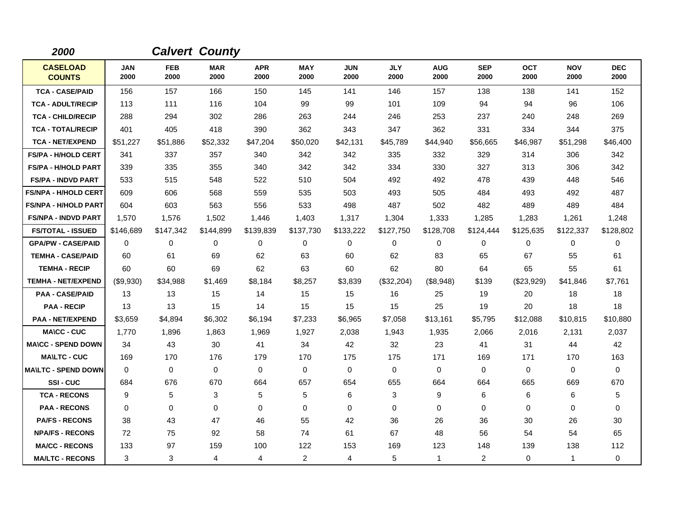| 2000                             |                    |                    | <b>Calvert County</b> |                    |                    |                    |                    |                    |                    |                    |                    |                    |
|----------------------------------|--------------------|--------------------|-----------------------|--------------------|--------------------|--------------------|--------------------|--------------------|--------------------|--------------------|--------------------|--------------------|
| <b>CASELOAD</b><br><b>COUNTS</b> | <b>JAN</b><br>2000 | <b>FEB</b><br>2000 | <b>MAR</b><br>2000    | <b>APR</b><br>2000 | <b>MAY</b><br>2000 | <b>JUN</b><br>2000 | <b>JLY</b><br>2000 | <b>AUG</b><br>2000 | <b>SEP</b><br>2000 | <b>OCT</b><br>2000 | <b>NOV</b><br>2000 | <b>DEC</b><br>2000 |
| <b>TCA - CASE/PAID</b>           | 156                | 157                | 166                   | 150                | 145                | 141                | 146                | 157                | 138                | 138                | 141                | 152                |
| <b>TCA - ADULT/RECIP</b>         | 113                | 111                | 116                   | 104                | 99                 | 99                 | 101                | 109                | 94                 | 94                 | 96                 | 106                |
| <b>TCA - CHILD/RECIP</b>         | 288                | 294                | 302                   | 286                | 263                | 244                | 246                | 253                | 237                | 240                | 248                | 269                |
| <b>TCA - TOTAL/RECIP</b>         | 401                | 405                | 418                   | 390                | 362                | 343                | 347                | 362                | 331                | 334                | 344                | 375                |
| <b>TCA - NET/EXPEND</b>          | \$51,227           | \$51,886           | \$52,332              | \$47,204           | \$50,020           | \$42,131           | \$45,789           | \$44,940           | \$56,665           | \$46,987           | \$51,298           | \$46,400           |
| <b>FS/PA - H/HOLD CERT</b>       | 341                | 337                | 357                   | 340                | 342                | 342                | 335                | 332                | 329                | 314                | 306                | 342                |
| <b>FS/PA - H/HOLD PART</b>       | 339                | 335                | 355                   | 340                | 342                | 342                | 334                | 330                | 327                | 313                | 306                | 342                |
| <b>FS/PA - INDVD PART</b>        | 533                | 515                | 548                   | 522                | 510                | 504                | 492                | 492                | 478                | 439                | 448                | 546                |
| <b>FS/NPA - H/HOLD CERT</b>      | 609                | 606                | 568                   | 559                | 535                | 503                | 493                | 505                | 484                | 493                | 492                | 487                |
| <b>FS/NPA - H/HOLD PART</b>      | 604                | 603                | 563                   | 556                | 533                | 498                | 487                | 502                | 482                | 489                | 489                | 484                |
| <b>FS/NPA - INDVD PART</b>       | 1,570              | 1,576              | 1,502                 | 1,446              | 1,403              | 1,317              | 1,304              | 1,333              | 1,285              | 1,283              | 1,261              | 1,248              |
| <b>FS/TOTAL - ISSUED</b>         | \$146,689          | \$147,342          | \$144,899             | \$139,839          | \$137,730          | \$133,222          | \$127,750          | \$128,708          | \$124,444          | \$125,635          | \$122,337          | \$128,802          |
| <b>GPA/PW - CASE/PAID</b>        | 0                  | 0                  | 0                     | 0                  | 0                  | 0                  | 0                  | 0                  | 0                  | 0                  | 0                  | 0                  |
| <b>TEMHA - CASE/PAID</b>         | 60                 | 61                 | 69                    | 62                 | 63                 | 60                 | 62                 | 83                 | 65                 | 67                 | 55                 | 61                 |
| <b>TEMHA - RECIP</b>             | 60                 | 60                 | 69                    | 62                 | 63                 | 60                 | 62                 | 80                 | 64                 | 65                 | 55                 | 61                 |
| <b>TEMHA - NET/EXPEND</b>        | (\$9,930)          | \$34,988           | \$1,469               | \$8,184            | \$8,257            | \$3,839            | (\$32,204)         | (\$8,948)          | \$139              | (\$23,929)         | \$41,846           | \$7,761            |
| <b>PAA - CASE/PAID</b>           | 13                 | 13                 | 15                    | 14                 | 15                 | 15                 | 16                 | 25                 | 19                 | 20                 | 18                 | 18                 |
| <b>PAA - RECIP</b>               | 13                 | 13                 | 15                    | 14                 | 15                 | 15                 | 15                 | 25                 | 19                 | 20                 | 18                 | 18                 |
| <b>PAA - NET/EXPEND</b>          | \$3,659            | \$4,894            | \$6,302               | \$6,194            | \$7,233            | \$6,965            | \$7,058            | \$13,161           | \$5,795            | \$12,088           | \$10,815           | \$10,880           |
| <b>MA\CC - CUC</b>               | 1.770              | 1,896              | 1,863                 | 1,969              | 1,927              | 2,038              | 1,943              | 1,935              | 2,066              | 2,016              | 2,131              | 2,037              |
| <b>MA\CC - SPEND DOWN</b>        | 34                 | 43                 | 30                    | 41                 | 34                 | 42                 | 32                 | 23                 | 41                 | 31                 | 44                 | 42                 |
| <b>MA\LTC - CUC</b>              | 169                | 170                | 176                   | 179                | 170                | 175                | 175                | 171                | 169                | 171                | 170                | 163                |
| <b>MAILTC - SPEND DOWN</b>       | $\mathbf{0}$       | 0                  | $\mathbf 0$           | $\Omega$           | 0                  | $\Omega$           | $\Omega$           | 0                  | 0                  | $\Omega$           | 0                  | 0                  |
| SSI-CUC                          | 684                | 676                | 670                   | 664                | 657                | 654                | 655                | 664                | 664                | 665                | 669                | 670                |
| <b>TCA - RECONS</b>              | 9                  | 5                  | 3                     | 5                  | 5                  | 6                  | 3                  | 9                  | 6                  | 6                  | 6                  | 5                  |
| <b>PAA - RECONS</b>              | 0                  | 0                  | $\mathbf 0$           | 0                  | $\mathbf 0$        | $\mathbf 0$        | $\mathbf 0$        | 0                  | $\mathbf 0$        | 0                  | 0                  | 0                  |
| <b>PA/FS - RECONS</b>            | 38                 | 43                 | 47                    | 46                 | 55                 | 42                 | 36                 | 26                 | 36                 | 30                 | 26                 | 30                 |
| <b>NPA/FS - RECONS</b>           | 72                 | 75                 | 92                    | 58                 | 74                 | 61                 | 67                 | 48                 | 56                 | 54                 | 54                 | 65                 |
| <b>MA/CC - RECONS</b>            | 133                | 97                 | 159                   | 100                | 122                | 153                | 169                | 123                | 148                | 139                | 138                | 112                |
| <b>MA/LTC - RECONS</b>           | 3                  | 3                  | 4                     | 4                  | $\overline{2}$     | 4                  | 5                  | $\mathbf{1}$       | 2                  | 0                  | $\mathbf{1}$       | $\mathbf 0$        |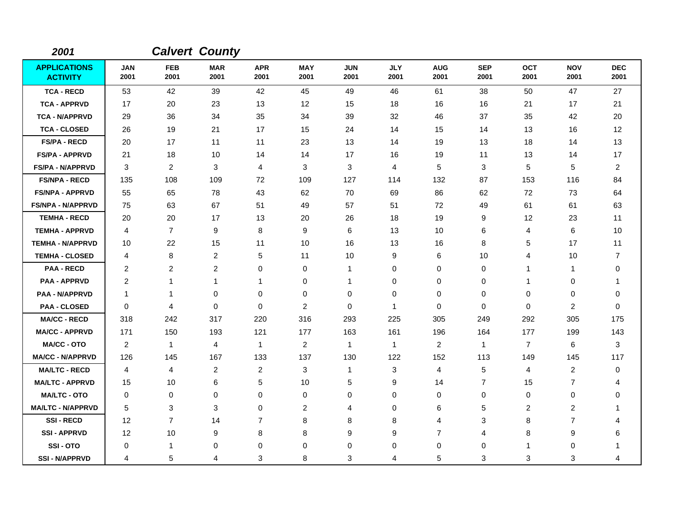| 2001                                   |                    |                    | <b>Calvert County</b> |                    |                    |                    |                    |                    |                    |                    |                    |                    |
|----------------------------------------|--------------------|--------------------|-----------------------|--------------------|--------------------|--------------------|--------------------|--------------------|--------------------|--------------------|--------------------|--------------------|
| <b>APPLICATIONS</b><br><b>ACTIVITY</b> | <b>JAN</b><br>2001 | <b>FEB</b><br>2001 | <b>MAR</b><br>2001    | <b>APR</b><br>2001 | <b>MAY</b><br>2001 | <b>JUN</b><br>2001 | <b>JLY</b><br>2001 | <b>AUG</b><br>2001 | <b>SEP</b><br>2001 | <b>OCT</b><br>2001 | <b>NOV</b><br>2001 | <b>DEC</b><br>2001 |
| <b>TCA - RECD</b>                      | 53                 | 42                 | 39                    | 42                 | 45                 | 49                 | 46                 | 61                 | 38                 | 50                 | 47                 | 27                 |
| <b>TCA - APPRVD</b>                    | 17                 | 20                 | 23                    | 13                 | 12                 | 15                 | 18                 | 16                 | 16                 | 21                 | 17                 | 21                 |
| <b>TCA - N/APPRVD</b>                  | 29                 | 36                 | 34                    | 35                 | 34                 | 39                 | 32                 | 46                 | 37                 | 35                 | 42                 | 20                 |
| <b>TCA - CLOSED</b>                    | 26                 | 19                 | 21                    | 17                 | 15                 | 24                 | 14                 | 15                 | 14                 | 13                 | 16                 | 12                 |
| <b>FS/PA - RECD</b>                    | 20                 | 17                 | 11                    | 11                 | 23                 | 13                 | 14                 | 19                 | 13                 | 18                 | 14                 | 13                 |
| <b>FS/PA - APPRVD</b>                  | 21                 | 18                 | 10                    | 14                 | 14                 | 17                 | 16                 | 19                 | 11                 | 13                 | 14                 | 17                 |
| <b>FS/PA - N/APPRVD</b>                | 3                  | $\overline{2}$     | 3                     | 4                  | 3                  | 3                  | 4                  | 5                  | 3                  | 5                  | $\mathbf 5$        | $\overline{2}$     |
| <b>FS/NPA - RECD</b>                   | 135                | 108                | 109                   | 72                 | 109                | 127                | 114                | 132                | 87                 | 153                | 116                | 84                 |
| <b>FS/NPA - APPRVD</b>                 | 55                 | 65                 | 78                    | 43                 | 62                 | 70                 | 69                 | 86                 | 62                 | 72                 | 73                 | 64                 |
| <b>FS/NPA - N/APPRVD</b>               | 75                 | 63                 | 67                    | 51                 | 49                 | 57                 | 51                 | 72                 | 49                 | 61                 | 61                 | 63                 |
| <b>TEMHA - RECD</b>                    | 20                 | 20                 | 17                    | 13                 | 20                 | 26                 | 18                 | 19                 | 9                  | 12                 | 23                 | 11                 |
| <b>TEMHA - APPRVD</b>                  | $\overline{4}$     | $\overline{7}$     | 9                     | 8                  | 9                  | 6                  | 13                 | 10                 | 6                  | 4                  | 6                  | 10                 |
| <b>TEMHA - N/APPRVD</b>                | 10                 | 22                 | 15                    | 11                 | 10                 | 16                 | 13                 | 16                 | 8                  | 5                  | 17                 | 11                 |
| <b>TEMHA - CLOSED</b>                  | $\overline{4}$     | 8                  | $\overline{c}$        | 5                  | 11                 | 10                 | 9                  | 6                  | 10                 | 4                  | 10                 | $\overline{7}$     |
| <b>PAA - RECD</b>                      | $\overline{2}$     | $\overline{c}$     | $\overline{c}$        | 0                  | $\pmb{0}$          | 1                  | 0                  | 0                  | $\mathbf 0$        | 1                  | 1                  | 0                  |
| <b>PAA - APPRVD</b>                    | $\overline{2}$     | 1                  | 1                     | -1                 | 0                  | 1                  | 0                  | 0                  | $\mathbf 0$        | 1                  | 0                  | 1                  |
| <b>PAA - N/APPRVD</b>                  | $\mathbf{1}$       | -1                 | $\mathbf 0$           | 0                  | 0                  | 0                  | 0                  | 0                  | 0                  | 0                  | 0                  | 0                  |
| <b>PAA - CLOSED</b>                    | $\mathbf 0$        | 4                  | $\mathbf 0$           | 0                  | 2                  | 0                  | 1                  | $\mathbf 0$        | $\mathbf 0$        | $\mathbf 0$        | $\overline{c}$     | 0                  |
| <b>MA/CC - RECD</b>                    | 318                | 242                | 317                   | 220                | 316                | 293                | 225                | 305                | 249                | 292                | 305                | 175                |
| <b>MA/CC - APPRVD</b>                  | 171                | 150                | 193                   | 121                | 177                | 163                | 161                | 196                | 164                | 177                | 199                | 143                |
| <b>MA/CC - OTO</b>                     | 2                  | 1                  | $\overline{4}$        | $\mathbf{1}$       | $\overline{2}$     | $\mathbf{1}$       | $\mathbf{1}$       | $\overline{c}$     | $\mathbf{1}$       | $\overline{7}$     | 6                  | 3                  |
| <b>MA/CC - N/APPRVD</b>                | 126                | 145                | 167                   | 133                | 137                | 130                | 122                | 152                | 113                | 149                | 145                | 117                |
| <b>MA/LTC - RECD</b>                   | $\overline{4}$     | 4                  | 2                     | $\overline{c}$     | 3                  | $\mathbf{1}$       | 3                  | 4                  | 5                  | 4                  | $\overline{2}$     | 0                  |
| <b>MA/LTC - APPRVD</b>                 | 15                 | 10                 | 6                     | 5                  | 10                 | 5                  | 9                  | 14                 | $\overline{7}$     | 15                 | $\overline{7}$     | 4                  |
| <b>MA/LTC - OTO</b>                    | 0                  | 0                  | $\mathbf 0$           | 0                  | 0                  | 0                  | 0                  | 0                  | 0                  | 0                  | 0                  | 0                  |
| <b>MA/LTC - N/APPRVD</b>               | 5                  | 3                  | 3                     | 0                  | $\overline{2}$     | 4                  | 0                  | 6                  | 5                  | 2                  | $\overline{2}$     | 1                  |
| <b>SSI-RECD</b>                        | 12                 | $\overline{7}$     | 14                    | 7                  | 8                  | 8                  | 8                  | 4                  | 3                  | 8                  | 7                  | 4                  |
| <b>SSI-APPRVD</b>                      | 12                 | 10                 | 9                     | 8                  | 8                  | 9                  | 9                  | $\overline{7}$     | 4                  | 8                  | 9                  | 6                  |
| SSI-OTO                                | 0                  | 1                  | $\mathbf 0$           | 0                  | 0                  | 0                  | 0                  | 0                  | 0                  | 1                  | 0                  | 1                  |
| <b>SSI - N/APPRVD</b>                  | 4                  | 5                  | 4                     | 3                  | 8                  | 3                  | $\overline{4}$     | 5                  | 3                  | 3                  | 3                  | 4                  |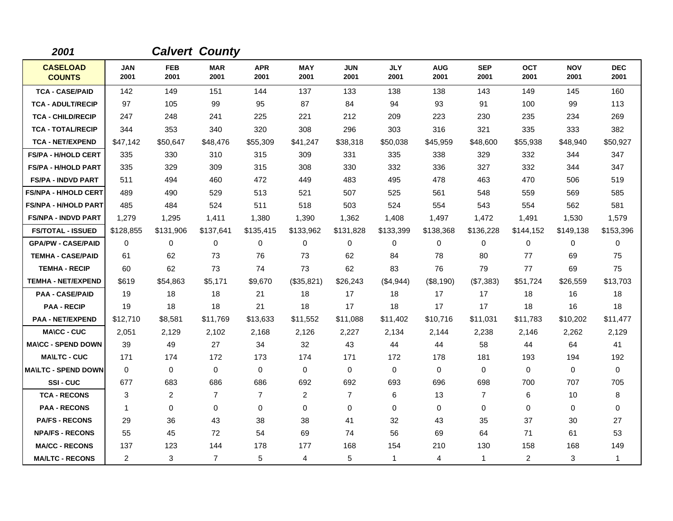| 2001                             |                    |                    | <b>Calvert County</b> |                    |                    |                    |                    |                    |                    |                    |                    |                    |
|----------------------------------|--------------------|--------------------|-----------------------|--------------------|--------------------|--------------------|--------------------|--------------------|--------------------|--------------------|--------------------|--------------------|
| <b>CASELOAD</b><br><b>COUNTS</b> | <b>JAN</b><br>2001 | <b>FEB</b><br>2001 | <b>MAR</b><br>2001    | <b>APR</b><br>2001 | <b>MAY</b><br>2001 | <b>JUN</b><br>2001 | <b>JLY</b><br>2001 | <b>AUG</b><br>2001 | <b>SEP</b><br>2001 | <b>OCT</b><br>2001 | <b>NOV</b><br>2001 | <b>DEC</b><br>2001 |
| <b>TCA - CASE/PAID</b>           | 142                | 149                | 151                   | 144                | 137                | 133                | 138                | 138                | 143                | 149                | 145                | 160                |
| <b>TCA - ADULT/RECIP</b>         | 97                 | 105                | 99                    | 95                 | 87                 | 84                 | 94                 | 93                 | 91                 | 100                | 99                 | 113                |
| <b>TCA - CHILD/RECIP</b>         | 247                | 248                | 241                   | 225                | 221                | 212                | 209                | 223                | 230                | 235                | 234                | 269                |
| <b>TCA - TOTAL/RECIP</b>         | 344                | 353                | 340                   | 320                | 308                | 296                | 303                | 316                | 321                | 335                | 333                | 382                |
| <b>TCA - NET/EXPEND</b>          | \$47,142           | \$50,647           | \$48,476              | \$55,309           | \$41,247           | \$38,318           | \$50,038           | \$45,959           | \$48,600           | \$55,938           | \$48,940           | \$50,927           |
| <b>FS/PA - H/HOLD CERT</b>       | 335                | 330                | 310                   | 315                | 309                | 331                | 335                | 338                | 329                | 332                | 344                | 347                |
| <b>FS/PA - H/HOLD PART</b>       | 335                | 329                | 309                   | 315                | 308                | 330                | 332                | 336                | 327                | 332                | 344                | 347                |
| <b>FS/PA - INDVD PART</b>        | 511                | 494                | 460                   | 472                | 449                | 483                | 495                | 478                | 463                | 470                | 506                | 519                |
| <b>FS/NPA - H/HOLD CERT</b>      | 489                | 490                | 529                   | 513                | 521                | 507                | 525                | 561                | 548                | 559                | 569                | 585                |
| <b>FS/NPA - H/HOLD PART</b>      | 485                | 484                | 524                   | 511                | 518                | 503                | 524                | 554                | 543                | 554                | 562                | 581                |
| <b>FS/NPA - INDVD PART</b>       | 1,279              | 1,295              | 1,411                 | 1,380              | 1,390              | 1,362              | 1,408              | 1,497              | 1,472              | 1,491              | 1,530              | 1,579              |
| <b>FS/TOTAL - ISSUED</b>         | \$128,855          | \$131,906          | \$137,641             | \$135,415          | \$133,962          | \$131,828          | \$133,399          | \$138,368          | \$136,228          | \$144,152          | \$149,138          | \$153,396          |
| <b>GPA/PW - CASE/PAID</b>        | 0                  | 0                  | 0                     | 0                  | 0                  | 0                  | 0                  | 0                  | 0                  | 0                  | 0                  | 0                  |
| <b>TEMHA - CASE/PAID</b>         | 61                 | 62                 | 73                    | 76                 | 73                 | 62                 | 84                 | 78                 | 80                 | 77                 | 69                 | 75                 |
| <b>TEMHA - RECIP</b>             | 60                 | 62                 | 73                    | 74                 | 73                 | 62                 | 83                 | 76                 | 79                 | 77                 | 69                 | 75                 |
| <b>TEMHA - NET/EXPEND</b>        | \$619              | \$54,863           | \$5,171               | \$9,670            | (\$35,821)         | \$26,243           | (\$4,944)          | (\$8,190)          | (\$7,383)          | \$51,724           | \$26,559           | \$13,703           |
| <b>PAA - CASE/PAID</b>           | 19                 | 18                 | 18                    | 21                 | 18                 | 17                 | 18                 | 17                 | 17                 | 18                 | 16                 | 18                 |
| <b>PAA - RECIP</b>               | 19                 | 18                 | 18                    | 21                 | 18                 | 17                 | 18                 | 17                 | 17                 | 18                 | 16                 | 18                 |
| <b>PAA - NET/EXPEND</b>          | \$12,710           | \$8,581            | \$11,769              | \$13,633           | \$11,552           | \$11,088           | \$11,402           | \$10,716           | \$11,031           | \$11,783           | \$10,202           | \$11,477           |
| <b>MA\CC - CUC</b>               | 2,051              | 2,129              | 2,102                 | 2,168              | 2,126              | 2,227              | 2,134              | 2,144              | 2,238              | 2,146              | 2,262              | 2,129              |
| <b>MA\CC - SPEND DOWN</b>        | 39                 | 49                 | 27                    | 34                 | 32                 | 43                 | 44                 | 44                 | 58                 | 44                 | 64                 | 41                 |
| <b>MA\LTC - CUC</b>              | 171                | 174                | 172                   | 173                | 174                | 171                | 172                | 178                | 181                | 193                | 194                | 192                |
| <b>MAILTC - SPEND DOWN</b>       | $\mathbf{0}$       | 0                  | $\mathbf 0$           | $\Omega$           | 0                  | $\Omega$           | $\Omega$           | 0                  | $\Omega$           | $\Omega$           | 0                  | 0                  |
| SSI-CUC                          | 677                | 683                | 686                   | 686                | 692                | 692                | 693                | 696                | 698                | 700                | 707                | 705                |
| <b>TCA - RECONS</b>              | 3                  | $\overline{2}$     | $\overline{7}$        | $\overline{7}$     | $\overline{2}$     | $\overline{7}$     | 6                  | 13                 | $\overline{7}$     | 6                  | 10                 | 8                  |
| <b>PAA - RECONS</b>              | $\mathbf{1}$       | 0                  | $\mathbf 0$           | 0                  | $\mathbf 0$        | $\mathbf 0$        | $\mathbf 0$        | 0                  | $\mathbf 0$        | $\Omega$           | 0                  | 0                  |
| <b>PA/FS - RECONS</b>            | 29                 | 36                 | 43                    | 38                 | 38                 | 41                 | 32                 | 43                 | 35                 | 37                 | 30                 | 27                 |
| <b>NPA/FS - RECONS</b>           | 55                 | 45                 | 72                    | 54                 | 69                 | 74                 | 56                 | 69                 | 64                 | 71                 | 61                 | 53                 |
| <b>MA/CC - RECONS</b>            | 137                | 123                | 144                   | 178                | 177                | 168                | 154                | 210                | 130                | 158                | 168                | 149                |
| <b>MA/LTC - RECONS</b>           | 2                  | 3                  | $\overline{7}$        | 5                  | 4                  | 5                  | $\mathbf{1}$       | 4                  | $\mathbf{1}$       | $\overline{2}$     | 3                  | $\mathbf{1}$       |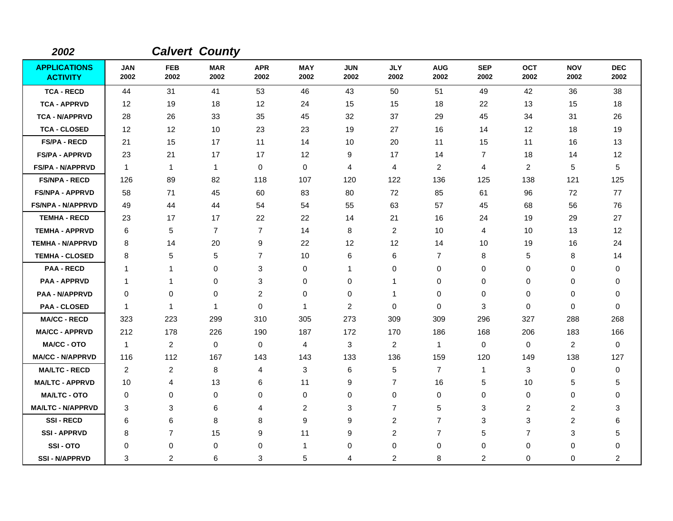| 2002                                   |                    |                    | <b>Calvert County</b> |                    |                    |                    |                    |                    |                    |                    |                    |                    |
|----------------------------------------|--------------------|--------------------|-----------------------|--------------------|--------------------|--------------------|--------------------|--------------------|--------------------|--------------------|--------------------|--------------------|
| <b>APPLICATIONS</b><br><b>ACTIVITY</b> | <b>JAN</b><br>2002 | <b>FEB</b><br>2002 | <b>MAR</b><br>2002    | <b>APR</b><br>2002 | <b>MAY</b><br>2002 | <b>JUN</b><br>2002 | <b>JLY</b><br>2002 | <b>AUG</b><br>2002 | <b>SEP</b><br>2002 | <b>OCT</b><br>2002 | <b>NOV</b><br>2002 | <b>DEC</b><br>2002 |
| <b>TCA - RECD</b>                      | 44                 | 31                 | 41                    | 53                 | 46                 | 43                 | 50                 | 51                 | 49                 | 42                 | 36                 | 38                 |
| <b>TCA - APPRVD</b>                    | $12 \overline{ }$  | 19                 | 18                    | 12                 | 24                 | 15                 | 15                 | 18                 | 22                 | 13                 | 15                 | 18                 |
| <b>TCA - N/APPRVD</b>                  | 28                 | 26                 | 33                    | 35                 | 45                 | 32                 | 37                 | 29                 | 45                 | 34                 | 31                 | 26                 |
| <b>TCA - CLOSED</b>                    | $12 \,$            | 12                 | 10                    | 23                 | 23                 | 19                 | 27                 | 16                 | 14                 | 12                 | 18                 | 19                 |
| <b>FS/PA - RECD</b>                    | 21                 | 15                 | 17                    | 11                 | 14                 | 10                 | 20                 | 11                 | 15                 | 11                 | 16                 | 13                 |
| <b>FS/PA - APPRVD</b>                  | 23                 | 21                 | 17                    | 17                 | 12                 | 9                  | 17                 | 14                 | $\overline{7}$     | 18                 | 14                 | 12                 |
| <b>FS/PA - N/APPRVD</b>                | $\mathbf{1}$       | $\mathbf{1}$       | $\mathbf{1}$          | $\mathbf 0$        | 0                  | 4                  | 4                  | $\overline{c}$     | 4                  | $\overline{c}$     | 5                  | 5                  |
| <b>FS/NPA - RECD</b>                   | 126                | 89                 | 82                    | 118                | 107                | 120                | 122                | 136                | 125                | 138                | 121                | 125                |
| <b>FS/NPA - APPRVD</b>                 | 58                 | 71                 | 45                    | 60                 | 83                 | 80                 | 72                 | 85                 | 61                 | 96                 | 72                 | 77                 |
| <b>FS/NPA - N/APPRVD</b>               | 49                 | 44                 | 44                    | 54                 | 54                 | 55                 | 63                 | 57                 | 45                 | 68                 | 56                 | 76                 |
| <b>TEMHA - RECD</b>                    | 23                 | 17                 | 17                    | 22                 | 22                 | 14                 | 21                 | 16                 | 24                 | 19                 | 29                 | 27                 |
| <b>TEMHA - APPRVD</b>                  | 6                  | 5                  | $\overline{7}$        | $\overline{7}$     | 14                 | 8                  | 2                  | 10                 | $\overline{4}$     | 10                 | 13                 | 12                 |
| <b>TEMHA - N/APPRVD</b>                | 8                  | 14                 | 20                    | 9                  | 22                 | 12                 | 12                 | 14                 | 10                 | 19                 | 16                 | 24                 |
| <b>TEMHA - CLOSED</b>                  | 8                  | 5                  | 5                     | 7                  | 10                 | 6                  | 6                  | $\overline{7}$     | 8                  | 5                  | 8                  | 14                 |
| <b>PAA - RECD</b>                      | -1                 | 1                  | $\mathbf 0$           | 3                  | 0                  | 1                  | $\mathbf 0$        | 0                  | $\mathbf 0$        | 0                  | 0                  | 0                  |
| <b>PAA - APPRVD</b>                    | $\mathbf 1$        | 1                  | 0                     | 3                  | 0                  | 0                  | 1                  | 0                  | $\pmb{0}$          | 0                  | 0                  | 0                  |
| <b>PAA - N/APPRVD</b>                  | 0                  | 0                  | $\mathbf 0$           | $\overline{c}$     | $\mathbf 0$        | 0                  | $\mathbf 1$        | 0                  | 0                  | 0                  | 0                  | 0                  |
| <b>PAA - CLOSED</b>                    | -1                 | 1                  | $\overline{1}$        | $\mathbf 0$        | -1                 | $\overline{2}$     | $\mathbf 0$        | 0                  | 3                  | $\mathbf 0$        | $\mathbf 0$        | 0                  |
| <b>MA/CC - RECD</b>                    | 323                | 223                | 299                   | 310                | 305                | 273                | 309                | 309                | 296                | 327                | 288                | 268                |
| <b>MA/CC - APPRVD</b>                  | 212                | 178                | 226                   | 190                | 187                | 172                | 170                | 186                | 168                | 206                | 183                | 166                |
| <b>MA/CC - OTO</b>                     | $\mathbf{1}$       | 2                  | $\mathbf 0$           | $\mathbf 0$        | 4                  | 3                  | $\overline{2}$     | $\mathbf{1}$       | $\mathbf 0$        | $\mathbf 0$        | $\overline{2}$     | $\mathbf 0$        |
| <b>MA/CC - N/APPRVD</b>                | 116                | 112                | 167                   | 143                | 143                | 133                | 136                | 159                | 120                | 149                | 138                | 127                |
| <b>MA/LTC - RECD</b>                   | 2                  | $\overline{2}$     | 8                     | 4                  | 3                  | 6                  | 5                  | $\overline{7}$     | $\mathbf 1$        | 3                  | 0                  | 0                  |
| <b>MA/LTC - APPRVD</b>                 | 10                 | 4                  | 13                    | 6                  | 11                 | 9                  | $\overline{7}$     | 16                 | 5                  | 10                 | 5                  | 5                  |
| <b>MA/LTC - OTO</b>                    | 0                  | 0                  | 0                     | 0                  | 0                  | 0                  | 0                  | 0                  | 0                  | 0                  | 0                  | 0                  |
| <b>MA/LTC - N/APPRVD</b>               | 3                  | 3                  | 6                     | 4                  | $\overline{2}$     | 3                  | $\overline{7}$     | 5                  | 3                  | $\overline{2}$     | 2                  | 3                  |
| <b>SSI-RECD</b>                        | 6                  | 6                  | 8                     | 8                  | $\boldsymbol{9}$   | 9                  | 2                  | $\overline{7}$     | 3                  | 3                  | $\overline{c}$     | 6                  |
| <b>SSI - APPRVD</b>                    | 8                  | $\overline{7}$     | 15                    | 9                  | 11                 | 9                  | 2                  | $\overline{7}$     | 5                  | $\overline{7}$     | 3                  | 5                  |
| SSI-OTO                                | $\Omega$           | 0                  | 0                     | 0                  | 1                  | 0                  | 0                  | 0                  | $\mathbf 0$        | 0                  | 0                  | 0                  |
| <b>SSI-N/APPRVD</b>                    | 3                  | 2                  | 6                     | 3                  | 5                  | 4                  | $\overline{c}$     | 8                  | $\overline{2}$     | 0                  | $\mathbf 0$        | $\overline{c}$     |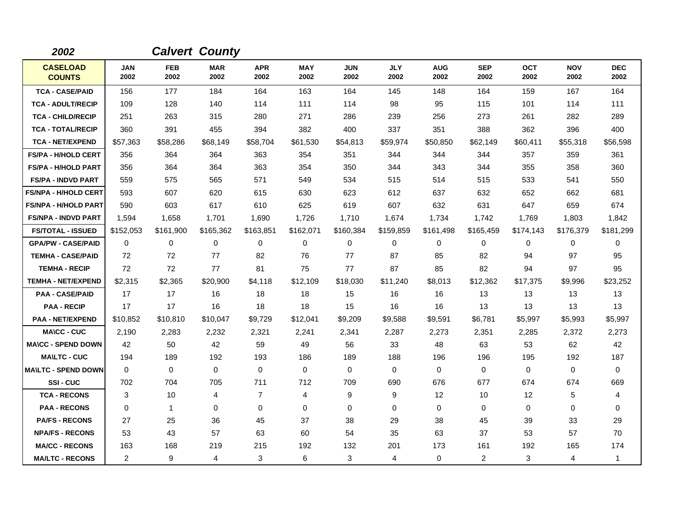| 2002                             |                    |                    | <b>Calvert County</b> |                    |                    |                    |                    |                    |                    |                    |                    |                    |
|----------------------------------|--------------------|--------------------|-----------------------|--------------------|--------------------|--------------------|--------------------|--------------------|--------------------|--------------------|--------------------|--------------------|
| <b>CASELOAD</b><br><b>COUNTS</b> | <b>JAN</b><br>2002 | <b>FEB</b><br>2002 | <b>MAR</b><br>2002    | <b>APR</b><br>2002 | <b>MAY</b><br>2002 | <b>JUN</b><br>2002 | <b>JLY</b><br>2002 | <b>AUG</b><br>2002 | <b>SEP</b><br>2002 | <b>OCT</b><br>2002 | <b>NOV</b><br>2002 | <b>DEC</b><br>2002 |
| <b>TCA - CASE/PAID</b>           | 156                | 177                | 184                   | 164                | 163                | 164                | 145                | 148                | 164                | 159                | 167                | 164                |
| <b>TCA - ADULT/RECIP</b>         | 109                | 128                | 140                   | 114                | 111                | 114                | 98                 | 95                 | 115                | 101                | 114                | 111                |
| <b>TCA - CHILD/RECIP</b>         | 251                | 263                | 315                   | 280                | 271                | 286                | 239                | 256                | 273                | 261                | 282                | 289                |
| <b>TCA - TOTAL/RECIP</b>         | 360                | 391                | 455                   | 394                | 382                | 400                | 337                | 351                | 388                | 362                | 396                | 400                |
| <b>TCA - NET/EXPEND</b>          | \$57,363           | \$58,286           | \$68,149              | \$58,704           | \$61,530           | \$54,813           | \$59,974           | \$50,850           | \$62,149           | \$60,411           | \$55,318           | \$56,598           |
| <b>FS/PA - H/HOLD CERT</b>       | 356                | 364                | 364                   | 363                | 354                | 351                | 344                | 344                | 344                | 357                | 359                | 361                |
| <b>FS/PA - H/HOLD PART</b>       | 356                | 364                | 364                   | 363                | 354                | 350                | 344                | 343                | 344                | 355                | 358                | 360                |
| <b>FS/PA - INDVD PART</b>        | 559                | 575                | 565                   | 571                | 549                | 534                | 515                | 514                | 515                | 533                | 541                | 550                |
| <b>FS/NPA - H/HOLD CERT</b>      | 593                | 607                | 620                   | 615                | 630                | 623                | 612                | 637                | 632                | 652                | 662                | 681                |
| <b>FS/NPA - H/HOLD PART</b>      | 590                | 603                | 617                   | 610                | 625                | 619                | 607                | 632                | 631                | 647                | 659                | 674                |
| <b>FS/NPA - INDVD PART</b>       | 1,594              | 1,658              | 1,701                 | 1,690              | 1,726              | 1,710              | 1,674              | 1,734              | 1,742              | 1.769              | 1,803              | 1,842              |
| <b>FS/TOTAL - ISSUED</b>         | \$152,053          | \$161,900          | \$165,362             | \$163,851          | \$162,071          | \$160,384          | \$159,859          | \$161,498          | \$165,459          | \$174,143          | \$176,379          | \$181,299          |
| <b>GPA/PW - CASE/PAID</b>        | $\Omega$           | $\Omega$           | 0                     | 0                  | 0                  | $\Omega$           | $\Omega$           | 0                  | $\Omega$           | $\Omega$           | 0                  | $\Omega$           |
| <b>TEMHA - CASE/PAID</b>         | 72                 | 72                 | 77                    | 82                 | 76                 | 77                 | 87                 | 85                 | 82                 | 94                 | 97                 | 95                 |
| <b>TEMHA - RECIP</b>             | 72                 | 72                 | 77                    | 81                 | 75                 | 77                 | 87                 | 85                 | 82                 | 94                 | 97                 | 95                 |
| <b>TEMHA - NET/EXPEND</b>        | \$2,315            | \$2,365            | \$20,900              | \$4,118            | \$12,109           | \$18,030           | \$11,240           | \$8,013            | \$12,362           | \$17,375           | \$9,996            | \$23,252           |
| <b>PAA - CASE/PAID</b>           | 17                 | 17                 | 16                    | 18                 | 18                 | 15                 | 16                 | 16                 | 13                 | 13                 | 13                 | 13                 |
| <b>PAA - RECIP</b>               | 17                 | 17                 | 16                    | 18                 | 18                 | 15                 | 16                 | 16                 | 13                 | 13                 | 13                 | 13                 |
| <b>PAA - NET/EXPEND</b>          | \$10,852           | \$10,810           | \$10,047              | \$9,729            | \$12,041           | \$9,209            | \$9,588            | \$9,591            | \$6,781            | \$5,997            | \$5,993            | \$5,997            |
| <b>MA\CC - CUC</b>               | 2,190              | 2,283              | 2,232                 | 2,321              | 2,241              | 2,341              | 2,287              | 2,273              | 2,351              | 2,285              | 2,372              | 2,273              |
| <b>MA\CC - SPEND DOWN</b>        | 42                 | 50                 | 42                    | 59                 | 49                 | 56                 | 33                 | 48                 | 63                 | 53                 | 62                 | 42                 |
| <b>MA\LTC - CUC</b>              | 194                | 189                | 192                   | 193                | 186                | 189                | 188                | 196                | 196                | 195                | 192                | 187                |
| <b>MA\LTC - SPEND DOWN</b>       | $\mathbf{0}$       | $\Omega$           | $\mathbf 0$           | $\mathbf 0$        | $\mathbf 0$        | $\Omega$           | $\Omega$           | 0                  | $\Omega$           | $\Omega$           | 0                  | $\Omega$           |
| SSI-CUC                          | 702                | 704                | 705                   | 711                | 712                | 709                | 690                | 676                | 677                | 674                | 674                | 669                |
| <b>TCA - RECONS</b>              | 3                  | 10                 | 4                     | $\overline{7}$     | 4                  | 9                  | 9                  | 12                 | 10                 | 12                 | 5                  | 4                  |
| <b>PAA - RECONS</b>              | $\Omega$           | $\mathbf{1}$       | $\Omega$              | $\Omega$           | 0                  | $\Omega$           | $\Omega$           | 0                  | $\Omega$           | $\Omega$           | $\Omega$           | 0                  |
| <b>PA/FS - RECONS</b>            | 27                 | 25                 | 36                    | 45                 | 37                 | 38                 | 29                 | 38                 | 45                 | 39                 | 33                 | 29                 |
| <b>NPA/FS - RECONS</b>           | 53                 | 43                 | 57                    | 63                 | 60                 | 54                 | 35                 | 63                 | 37                 | 53                 | 57                 | 70                 |
| <b>MA/CC - RECONS</b>            | 163                | 168                | 219                   | 215                | 192                | 132                | 201                | 173                | 161                | 192                | 165                | 174                |
| <b>MA/LTC - RECONS</b>           | $\overline{2}$     | 9                  | $\overline{4}$        | 3                  | 6                  | 3                  | 4                  | 0                  | 2                  | 3                  | 4                  | $\mathbf{1}$       |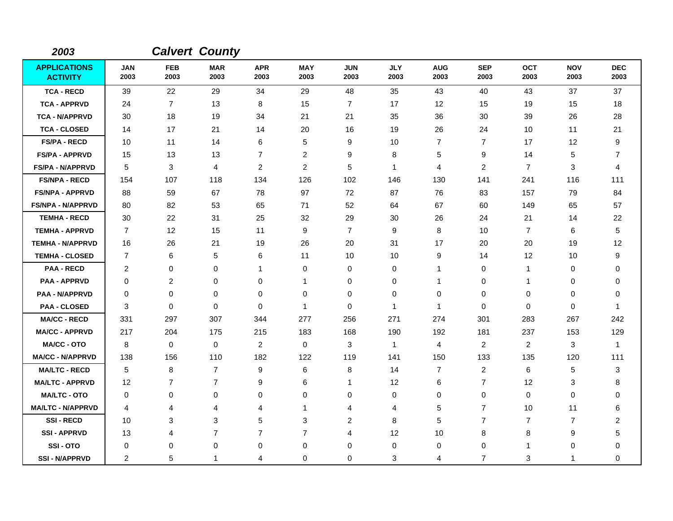| 2003                                   |                    |                    | <b>Calvert County</b> |                    |                    |                    |                    |                    |                    |                    |                    |                    |
|----------------------------------------|--------------------|--------------------|-----------------------|--------------------|--------------------|--------------------|--------------------|--------------------|--------------------|--------------------|--------------------|--------------------|
| <b>APPLICATIONS</b><br><b>ACTIVITY</b> | <b>JAN</b><br>2003 | <b>FEB</b><br>2003 | <b>MAR</b><br>2003    | <b>APR</b><br>2003 | <b>MAY</b><br>2003 | <b>JUN</b><br>2003 | <b>JLY</b><br>2003 | <b>AUG</b><br>2003 | <b>SEP</b><br>2003 | <b>OCT</b><br>2003 | <b>NOV</b><br>2003 | <b>DEC</b><br>2003 |
| <b>TCA - RECD</b>                      | 39                 | 22                 | 29                    | 34                 | 29                 | 48                 | 35                 | 43                 | 40                 | 43                 | 37                 | 37                 |
| <b>TCA - APPRVD</b>                    | 24                 | $\overline{7}$     | 13                    | 8                  | 15                 | $\overline{7}$     | 17                 | 12                 | 15                 | 19                 | 15                 | 18                 |
| <b>TCA - N/APPRVD</b>                  | 30                 | 18                 | 19                    | 34                 | 21                 | 21                 | 35                 | 36                 | 30                 | 39                 | 26                 | 28                 |
| <b>TCA - CLOSED</b>                    | 14                 | 17                 | 21                    | 14                 | 20                 | 16                 | 19                 | 26                 | 24                 | 10                 | 11                 | 21                 |
| <b>FS/PA - RECD</b>                    | 10                 | 11                 | 14                    | 6                  | $\,$ 5 $\,$        | 9                  | 10                 | $\overline{7}$     | $\overline{7}$     | 17                 | 12                 | 9                  |
| <b>FS/PA - APPRVD</b>                  | 15                 | 13                 | 13                    | 7                  | $\overline{2}$     | 9                  | 8                  | 5                  | 9                  | 14                 | 5                  | 7                  |
| <b>FS/PA - N/APPRVD</b>                | 5                  | 3                  | 4                     | $\overline{2}$     | $\overline{2}$     | 5                  | $\mathbf{1}$       | 4                  | $\overline{c}$     | $\overline{7}$     | 3                  | 4                  |
| <b>FS/NPA - RECD</b>                   | 154                | 107                | 118                   | 134                | 126                | 102                | 146                | 130                | 141                | 241                | 116                | 111                |
| <b>FS/NPA - APPRVD</b>                 | 88                 | 59                 | 67                    | 78                 | 97                 | 72                 | 87                 | 76                 | 83                 | 157                | 79                 | 84                 |
| <b>FS/NPA - N/APPRVD</b>               | 80                 | 82                 | 53                    | 65                 | 71                 | 52                 | 64                 | 67                 | 60                 | 149                | 65                 | 57                 |
| <b>TEMHA - RECD</b>                    | 30                 | 22                 | 31                    | 25                 | 32                 | 29                 | 30                 | 26                 | 24                 | 21                 | 14                 | 22                 |
| <b>TEMHA - APPRVD</b>                  | $\overline{7}$     | 12                 | 15                    | 11                 | 9                  | $\overline{7}$     | 9                  | 8                  | 10                 | $\overline{7}$     | 6                  | 5                  |
| <b>TEMHA - N/APPRVD</b>                | 16                 | 26                 | 21                    | 19                 | 26                 | 20                 | 31                 | 17                 | 20                 | 20                 | 19                 | 12                 |
| <b>TEMHA - CLOSED</b>                  | 7                  | 6                  | 5                     | 6                  | 11                 | 10                 | 10                 | 9                  | 14                 | $12 \overline{ }$  | 10                 | 9                  |
| <b>PAA - RECD</b>                      | $\overline{c}$     | 0                  | $\mathbf 0$           | 1                  | $\mathbf 0$        | 0                  | $\mathbf 0$        | 1                  | $\mathbf 0$        | 1                  | 0                  | 0                  |
| <b>PAA - APPRVD</b>                    | 0                  | 2                  | 0                     | 0                  | 1                  | 0                  | 0                  | 1                  | 0                  | 1                  | 0                  | 0                  |
| <b>PAA - N/APPRVD</b>                  | $\Omega$           | 0                  | 0                     | $\mathbf 0$        | $\mathbf 0$        | 0                  | $\mathbf 0$        | 0                  | 0                  | 0                  | 0                  | 0                  |
| <b>PAA - CLOSED</b>                    | 3                  | 0                  | $\mathbf 0$           | 0                  | -1                 | 0                  | -1                 | $\mathbf{1}$       | $\mathbf 0$        | $\mathbf 0$        | $\mathbf 0$        | -1                 |
| <b>MA/CC - RECD</b>                    | 331                | 297                | 307                   | 344                | 277                | 256                | 271                | 274                | 301                | 283                | 267                | 242                |
| <b>MA/CC - APPRVD</b>                  | 217                | 204                | 175                   | 215                | 183                | 168                | 190                | 192                | 181                | 237                | 153                | 129                |
| <b>MA/CC - OTO</b>                     | 8                  | 0                  | $\mathbf 0$           | $\overline{2}$     | $\mathbf 0$        | 3                  | $\mathbf{1}$       | 4                  | 2                  | $\overline{2}$     | 3                  | -1                 |
| <b>MA/CC - N/APPRVD</b>                | 138                | 156                | 110                   | 182                | 122                | 119                | 141                | 150                | 133                | 135                | 120                | 111                |
| <b>MA/LTC - RECD</b>                   | 5                  | 8                  | $\overline{7}$        | 9                  | 6                  | 8                  | 14                 | 7                  | $\overline{2}$     | 6                  | 5                  | 3                  |
| <b>MA/LTC - APPRVD</b>                 | $12 \,$            | $\overline{7}$     | $\overline{7}$        | 9                  | 6                  | 1                  | 12                 | 6                  | $\overline{7}$     | 12                 | 3                  | 8                  |
| <b>MA/LTC - OTO</b>                    | $\mathbf 0$        | 0                  | 0                     | 0                  | 0                  | 0                  | 0                  | 0                  | $\pmb{0}$          | 0                  | 0                  | 0                  |
| <b>MA/LTC - N/APPRVD</b>               | 4                  | 4                  | 4                     | 4                  | -1                 | 4                  | 4                  | 5                  | $\overline{7}$     | 10                 | 11                 | 6                  |
| <b>SSI-RECD</b>                        | 10                 | 3                  | 3                     | 5                  | 3                  | $\overline{c}$     | 8                  | 5                  | $\overline{7}$     | $\overline{7}$     | $\overline{7}$     | $\overline{2}$     |
| <b>SSI - APPRVD</b>                    | 13                 | 4                  | $\overline{7}$        | $\overline{7}$     | $\overline{7}$     | 4                  | 12                 | 10                 | 8                  | 8                  | 9                  | 5                  |
| SSI-OTO                                | 0                  | 0                  | 0                     | 0                  | $\mathbf 0$        | 0                  | $\mathbf 0$        | 0                  | 0                  | 1                  | 0                  | 0                  |
| <b>SSI-N/APPRVD</b>                    | $\overline{2}$     | 5                  | 1                     | 4                  | $\mathbf 0$        | 0                  | 3                  | 4                  | $\overline{7}$     | 3                  | 1                  | 0                  |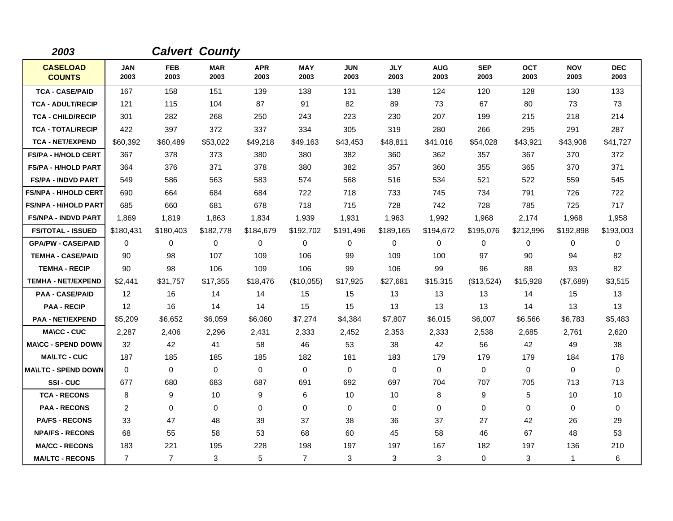| 2003                             |                    |                    | <b>Calvert County</b> |                    |                    |                    |                    |                    |                    |                    |                    |                    |
|----------------------------------|--------------------|--------------------|-----------------------|--------------------|--------------------|--------------------|--------------------|--------------------|--------------------|--------------------|--------------------|--------------------|
| <b>CASELOAD</b><br><b>COUNTS</b> | <b>JAN</b><br>2003 | <b>FEB</b><br>2003 | <b>MAR</b><br>2003    | <b>APR</b><br>2003 | <b>MAY</b><br>2003 | <b>JUN</b><br>2003 | <b>JLY</b><br>2003 | <b>AUG</b><br>2003 | <b>SEP</b><br>2003 | <b>OCT</b><br>2003 | <b>NOV</b><br>2003 | <b>DEC</b><br>2003 |
| <b>TCA - CASE/PAID</b>           | 167                | 158                | 151                   | 139                | 138                | 131                | 138                | 124                | 120                | 128                | 130                | 133                |
| <b>TCA - ADULT/RECIP</b>         | 121                | 115                | 104                   | 87                 | 91                 | 82                 | 89                 | 73                 | 67                 | 80                 | 73                 | 73                 |
| <b>TCA - CHILD/RECIP</b>         | 301                | 282                | 268                   | 250                | 243                | 223                | 230                | 207                | 199                | 215                | 218                | 214                |
| <b>TCA - TOTAL/RECIP</b>         | 422                | 397                | 372                   | 337                | 334                | 305                | 319                | 280                | 266                | 295                | 291                | 287                |
| <b>TCA - NET/EXPEND</b>          | \$60,392           | \$60,489           | \$53,022              | \$49,218           | \$49,163           | \$43,453           | \$48,811           | \$41,016           | \$54,028           | \$43,921           | \$43,908           | \$41,727           |
| <b>FS/PA - H/HOLD CERT</b>       | 367                | 378                | 373                   | 380                | 380                | 382                | 360                | 362                | 357                | 367                | 370                | 372                |
| <b>FS/PA - H/HOLD PART</b>       | 364                | 376                | 371                   | 378                | 380                | 382                | 357                | 360                | 355                | 365                | 370                | 371                |
| <b>FS/PA - INDVD PART</b>        | 549                | 586                | 563                   | 583                | 574                | 568                | 516                | 534                | 521                | 522                | 559                | 545                |
| <b>FS/NPA - H/HOLD CERT</b>      | 690                | 664                | 684                   | 684                | 722                | 718                | 733                | 745                | 734                | 791                | 726                | 722                |
| <b>FS/NPA - H/HOLD PART</b>      | 685                | 660                | 681                   | 678                | 718                | 715                | 728                | 742                | 728                | 785                | 725                | 717                |
| <b>FS/NPA - INDVD PART</b>       | 1,869              | 1,819              | 1,863                 | 1,834              | 1,939              | 1,931              | 1,963              | 1,992              | 1,968              | 2,174              | 1,968              | 1,958              |
| <b>FS/TOTAL - ISSUED</b>         | \$180,431          | \$180,403          | \$182,778             | \$184,679          | \$192,702          | \$191,496          | \$189,165          | \$194,672          | \$195,076          | \$212,996          | \$192,898          | \$193,003          |
| <b>GPA/PW - CASE/PAID</b>        | 0                  | 0                  | $\mathbf 0$           | 0                  | 0                  | 0                  | $\mathbf 0$        | 0                  | $\mathbf 0$        | 0                  | 0                  | 0                  |
| <b>TEMHA - CASE/PAID</b>         | 90                 | 98                 | 107                   | 109                | 106                | 99                 | 109                | 100                | 97                 | 90                 | 94                 | 82                 |
| <b>TEMHA - RECIP</b>             | 90                 | 98                 | 106                   | 109                | 106                | 99                 | 106                | 99                 | 96                 | 88                 | 93                 | 82                 |
| <b>TEMHA - NET/EXPEND</b>        | \$2,441            | \$31,757           | \$17,355              | \$18,476           | (\$10,055)         | \$17,925           | \$27,681           | \$15,315           | (\$13,524)         | \$15,928           | (\$7,689)          | \$3,515            |
| <b>PAA - CASE/PAID</b>           | 12                 | 16                 | 14                    | 14                 | 15                 | 15                 | 13                 | 13                 | 13                 | 14                 | 15                 | 13                 |
| <b>PAA - RECIP</b>               | 12                 | 16                 | 14                    | 14                 | 15                 | 15                 | 13                 | 13                 | 13                 | 14                 | 13                 | 13                 |
| <b>PAA - NET/EXPEND</b>          | \$5,209            | \$6,652            | \$6,059               | \$6,060            | \$7,274            | \$4,384            | \$7,807            | \$6,015            | \$6,007            | \$6,566            | \$6,783            | \$5,483            |
| <b>MA\CC - CUC</b>               | 2,287              | 2,406              | 2,296                 | 2,431              | 2,333              | 2,452              | 2,353              | 2,333              | 2,538              | 2,685              | 2,761              | 2,620              |
| <b>MA\CC - SPEND DOWN</b>        | 32                 | 42                 | 41                    | 58                 | 46                 | 53                 | 38                 | 42                 | 56                 | 42                 | 49                 | 38                 |
| <b>MA\LTC - CUC</b>              | 187                | 185                | 185                   | 185                | 182                | 181                | 183                | 179                | 179                | 179                | 184                | 178                |
| <b>MA\LTC - SPEND DOWN</b>       | $\mathbf 0$        | $\mathbf 0$        | $\mathbf 0$           | $\mathbf 0$        | $\mathbf 0$        | $\mathbf 0$        | $\mathbf 0$        | 0                  | $\mathbf 0$        | $\mathbf 0$        | 0                  | $\mathbf 0$        |
| SSI-CUC                          | 677                | 680                | 683                   | 687                | 691                | 692                | 697                | 704                | 707                | 705                | 713                | 713                |
| <b>TCA - RECONS</b>              | 8                  | 9                  | 10                    | 9                  | 6                  | 10                 | 10                 | 8                  | 9                  | 5                  | 10                 | 10                 |
| <b>PAA - RECONS</b>              | 2                  | 0                  | $\mathbf 0$           | 0                  | $\mathbf 0$        | $\mathbf 0$        | $\mathbf 0$        | 0                  | $\mathbf 0$        | 0                  | 0                  | 0                  |
| <b>PA/FS - RECONS</b>            | 33                 | 47                 | 48                    | 39                 | 37                 | 38                 | 36                 | 37                 | 27                 | 42                 | 26                 | 29                 |
| <b>NPA/FS - RECONS</b>           | 68                 | 55                 | 58                    | 53                 | 68                 | 60                 | 45                 | 58                 | 46                 | 67                 | 48                 | 53                 |
| <b>MA/CC - RECONS</b>            | 183                | 221                | 195                   | 228                | 198                | 197                | 197                | 167                | 182                | 197                | 136                | 210                |
| <b>MA/LTC - RECONS</b>           | $\overline{7}$     | $\overline{7}$     | 3                     | 5                  | $\overline{7}$     | 3                  | 3                  | 3                  | $\mathbf 0$        | 3                  | $\mathbf{1}$       | 6                  |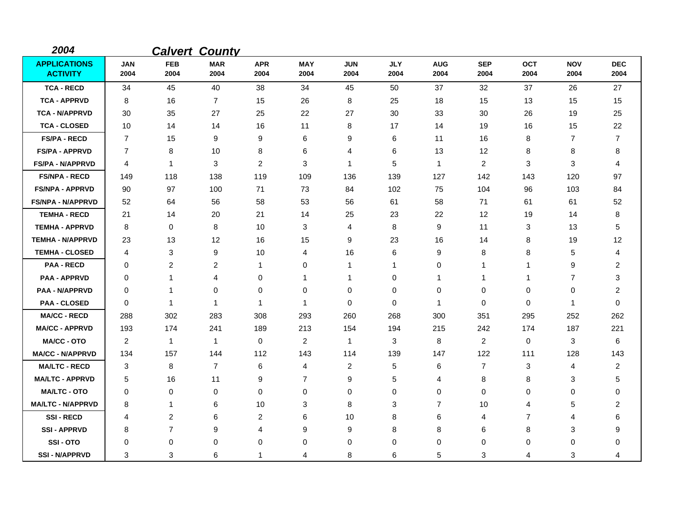| 2004                                   |             |                    | <b>Calvert County</b> |                    |                    |                    |                    |                    |                    |                    |                    |                    |
|----------------------------------------|-------------|--------------------|-----------------------|--------------------|--------------------|--------------------|--------------------|--------------------|--------------------|--------------------|--------------------|--------------------|
| <b>APPLICATIONS</b><br><b>ACTIVITY</b> | JAN<br>2004 | <b>FEB</b><br>2004 | <b>MAR</b><br>2004    | <b>APR</b><br>2004 | <b>MAY</b><br>2004 | <b>JUN</b><br>2004 | <b>JLY</b><br>2004 | <b>AUG</b><br>2004 | <b>SEP</b><br>2004 | <b>OCT</b><br>2004 | <b>NOV</b><br>2004 | <b>DEC</b><br>2004 |
| <b>TCA - RECD</b>                      | 34          | 45                 | 40                    | 38                 | 34                 | 45                 | 50                 | 37                 | 32                 | 37                 | 26                 | 27                 |
| <b>TCA - APPRVD</b>                    | 8           | 16                 | $\overline{7}$        | 15                 | 26                 | 8                  | 25                 | 18                 | 15                 | 13                 | 15                 | 15                 |
| <b>TCA - N/APPRVD</b>                  | 30          | 35                 | 27                    | 25                 | 22                 | 27                 | 30                 | 33                 | 30                 | 26                 | 19                 | 25                 |
| <b>TCA - CLOSED</b>                    | 10          | 14                 | 14                    | 16                 | 11                 | 8                  | 17                 | 14                 | 19                 | 16                 | 15                 | 22                 |
| <b>FS/PA - RECD</b>                    | 7           | 15                 | 9                     | 9                  | 6                  | 9                  | 6                  | 11                 | 16                 | 8                  | 7                  | 7                  |
| <b>FS/PA - APPRVD</b>                  | 7           | 8                  | 10                    | 8                  | 6                  | 4                  | 6                  | 13                 | 12                 | 8                  | 8                  | 8                  |
| <b>FS/PA - N/APPRVD</b>                | 4           | $\mathbf 1$        | 3                     | 2                  | 3                  | 1                  | 5                  | $\overline{1}$     | 2                  | 3                  | 3                  | 4                  |
| <b>FS/NPA - RECD</b>                   | 149         | 118                | 138                   | 119                | 109                | 136                | 139                | 127                | 142                | 143                | 120                | 97                 |
| <b>FS/NPA - APPRVD</b>                 | 90          | 97                 | 100                   | 71                 | 73                 | 84                 | 102                | 75                 | 104                | 96                 | 103                | 84                 |
| <b>FS/NPA - N/APPRVD</b>               | 52          | 64                 | 56                    | 58                 | 53                 | 56                 | 61                 | 58                 | 71                 | 61                 | 61                 | 52                 |
| <b>TEMHA - RECD</b>                    | 21          | 14                 | 20                    | 21                 | 14                 | 25                 | 23                 | 22                 | 12                 | 19                 | 14                 | 8                  |
| <b>TEMHA - APPRVD</b>                  | 8           | 0                  | 8                     | 10                 | 3                  | 4                  | 8                  | 9                  | 11                 | 3                  | 13                 | 5                  |
| <b>TEMHA - N/APPRVD</b>                | 23          | 13                 | 12                    | 16                 | 15                 | 9                  | 23                 | 16                 | 14                 | 8                  | 19                 | 12                 |
| <b>TEMHA - CLOSED</b>                  | 4           | 3                  | 9                     | 10                 | 4                  | 16                 | 6                  | 9                  | 8                  | 8                  | 5                  | 4                  |
| <b>PAA - RECD</b>                      | 0           | 2                  | $\overline{2}$        | $\mathbf{1}$       | 0                  | 1                  | 1                  | 0                  | 1                  | 1                  | 9                  | $\overline{c}$     |
| <b>PAA - APPRVD</b>                    | 0           | 1                  | 4                     | 0                  | $\mathbf 1$        | 1                  | 0                  | $\mathbf 1$        | 1                  | -1                 | 7                  | $\mathbf{3}$       |
| <b>PAA - N/APPRVD</b>                  | 0           | 1                  | $\mathbf 0$           | 0                  | 0                  | 0                  | 0                  | 0                  | 0                  | 0                  | 0                  | $\overline{2}$     |
| <b>PAA - CLOSED</b>                    | 0           | $\mathbf{1}$       | $\mathbf 1$           | $\mathbf{1}$       | $\mathbf{1}$       | 0                  | 0                  | $\mathbf{1}$       | 0                  | 0                  | $\mathbf{1}$       | 0                  |
| <b>MA/CC - RECD</b>                    | 288         | 302                | 283                   | 308                | 293                | 260                | 268                | 300                | 351                | 295                | 252                | 262                |
| <b>MA/CC - APPRVD</b>                  | 193         | 174                | 241                   | 189                | 213                | 154                | 194                | 215                | 242                | 174                | 187                | 221                |
| <b>MA/CC - OTO</b>                     | 2           | 1                  | $\mathbf{1}$          | 0                  | $\overline{2}$     | $\mathbf{1}$       | 3                  | 8                  | 2                  | 0                  | 3                  | 6                  |
| <b>MA/CC - N/APPRVD</b>                | 134         | 157                | 144                   | 112                | 143                | 114                | 139                | 147                | 122                | 111                | 128                | 143                |
| <b>MA/LTC - RECD</b>                   | 3           | 8                  | 7                     | 6                  | 4                  | 2                  | 5                  | 6                  | 7                  | 3                  | 4                  | $\overline{2}$     |
| <b>MA/LTC - APPRVD</b>                 | 5           | 16                 | 11                    | 9                  | 7                  | 9                  | 5                  | 4                  | 8                  | 8                  | 3                  | 5                  |
| <b>MA/LTC - OTO</b>                    | $\mathbf 0$ | 0                  | 0                     | 0                  | 0                  | 0                  | 0                  | 0                  | 0                  | 0                  | 0                  | 0                  |
| <b>MA/LTC - N/APPRVD</b>               | 8           | 1                  | 6                     | 10                 | 3                  | 8                  | 3                  | $\overline{7}$     | 10                 | 4                  | 5                  | 2                  |
| <b>SSI-RECD</b>                        | 4           | $\overline{2}$     | 6                     | 2                  | 6                  | 10                 | 8                  | 6                  | 4                  | $\overline{7}$     | 4                  | 6                  |
| <b>SSI-APPRVD</b>                      | 8           | $\overline{7}$     | 9                     | $\overline{4}$     | 9                  | 9                  | 8                  | 8                  | 6                  | 8                  | 3                  | 9                  |
| SSI-OTO                                | 0           | 0                  | 0                     | 0                  | 0                  | 0                  | 0                  | 0                  | 0                  | 0                  | 0                  | 0                  |
| <b>SSI-N/APPRVD</b>                    | 3           | 3                  | 6                     | 1                  | 4                  | 8                  | 6                  | 5                  | 3                  | 4                  | 3                  | 4                  |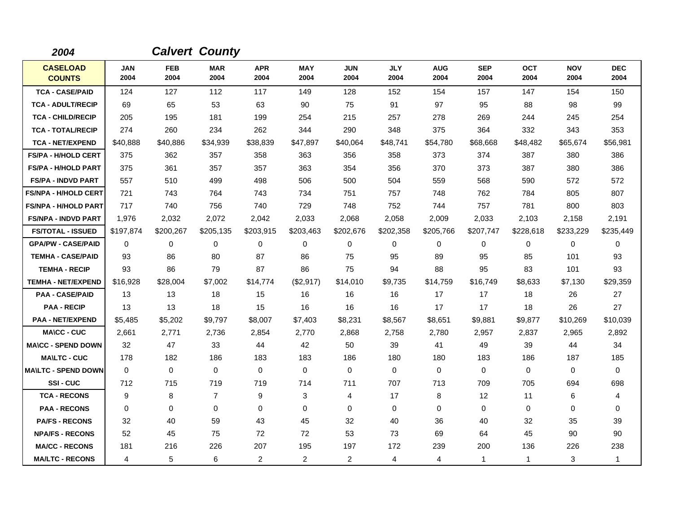| 2004                             |             |             | <b>Calvert County</b> |                    |                    |                    |                    |                    |                    |                    |                    |                    |
|----------------------------------|-------------|-------------|-----------------------|--------------------|--------------------|--------------------|--------------------|--------------------|--------------------|--------------------|--------------------|--------------------|
| <b>CASELOAD</b><br><b>COUNTS</b> | JAN<br>2004 | FEB<br>2004 | MAR<br>2004           | <b>APR</b><br>2004 | <b>MAY</b><br>2004 | <b>JUN</b><br>2004 | <b>JLY</b><br>2004 | <b>AUG</b><br>2004 | <b>SEP</b><br>2004 | <b>OCT</b><br>2004 | <b>NOV</b><br>2004 | <b>DEC</b><br>2004 |
| <b>TCA - CASE/PAID</b>           | 124         | 127         | 112                   | 117                | 149                | 128                | 152                | 154                | 157                | 147                | 154                | 150                |
| <b>TCA - ADULT/RECIP</b>         | 69          | 65          | 53                    | 63                 | 90                 | 75                 | 91                 | 97                 | 95                 | 88                 | 98                 | 99                 |
| <b>TCA - CHILD/RECIP</b>         | 205         | 195         | 181                   | 199                | 254                | 215                | 257                | 278                | 269                | 244                | 245                | 254                |
| <b>TCA - TOTAL/RECIP</b>         | 274         | 260         | 234                   | 262                | 344                | 290                | 348                | 375                | 364                | 332                | 343                | 353                |
| <b>TCA - NET/EXPEND</b>          | \$40,888    | \$40,886    | \$34,939              | \$38,839           | \$47,897           | \$40,064           | \$48,741           | \$54,780           | \$68,668           | \$48,482           | \$65,674           | \$56,981           |
| <b>FS/PA - H/HOLD CERT</b>       | 375         | 362         | 357                   | 358                | 363                | 356                | 358                | 373                | 374                | 387                | 380                | 386                |
| <b>FS/PA - H/HOLD PART</b>       | 375         | 361         | 357                   | 357                | 363                | 354                | 356                | 370                | 373                | 387                | 380                | 386                |
| <b>FS/PA - INDVD PART</b>        | 557         | 510         | 499                   | 498                | 506                | 500                | 504                | 559                | 568                | 590                | 572                | 572                |
| <b>FS/NPA - H/HOLD CERT</b>      | 721         | 743         | 764                   | 743                | 734                | 751                | 757                | 748                | 762                | 784                | 805                | 807                |
| <b>FS/NPA - H/HOLD PART</b>      | 717         | 740         | 756                   | 740                | 729                | 748                | 752                | 744                | 757                | 781                | 800                | 803                |
| <b>FS/NPA - INDVD PART</b>       | 1,976       | 2,032       | 2,072                 | 2,042              | 2,033              | 2,068              | 2,058              | 2,009              | 2,033              | 2,103              | 2,158              | 2,191              |
| <b>FS/TOTAL - ISSUED</b>         | \$197,874   | \$200,267   | \$205,135             | \$203,915          | \$203,463          | \$202,676          | \$202,358          | \$205,766          | \$207,747          | \$228,618          | \$233,229          | \$235,449          |
| <b>GPA/PW - CASE/PAID</b>        | $\Omega$    | $\Omega$    | $\Omega$              | 0                  | 0                  | $\Omega$           | 0                  | 0                  | $\Omega$           | 0                  | 0                  | $\Omega$           |
| <b>TEMHA - CASE/PAID</b>         | 93          | 86          | 80                    | 87                 | 86                 | 75                 | 95                 | 89                 | 95                 | 85                 | 101                | 93                 |
| <b>TEMHA - RECIP</b>             | 93          | 86          | 79                    | 87                 | 86                 | 75                 | 94                 | 88                 | 95                 | 83                 | 101                | 93                 |
| <b>TEMHA - NET/EXPEND</b>        | \$16,928    | \$28,004    | \$7,002               | \$14,774           | (\$2,917)          | \$14,010           | \$9,735            | \$14,759           | \$16,749           | \$8,633            | \$7,130            | \$29,359           |
| <b>PAA - CASE/PAID</b>           | 13          | 13          | 18                    | 15                 | 16                 | 16                 | 16                 | 17                 | 17                 | 18                 | 26                 | 27                 |
| <b>PAA - RECIP</b>               | 13          | 13          | 18                    | 15                 | 16                 | 16                 | 16                 | 17                 | 17                 | 18                 | 26                 | 27                 |
| <b>PAA - NET/EXPEND</b>          | \$5,485     | \$5,202     | \$9,797               | \$8,007            | \$7,403            | \$8,231            | \$8,567            | \$8,651            | \$9,881            | \$9,877            | \$10,269           | \$10,039           |
| <b>MA\CC - CUC</b>               | 2,661       | 2,771       | 2,736                 | 2,854              | 2,770              | 2,868              | 2,758              | 2,780              | 2,957              | 2,837              | 2,965              | 2,892              |
| <b>MA\CC - SPEND DOWN</b>        | 32          | 47          | 33                    | 44                 | 42                 | 50                 | 39                 | 41                 | 49                 | 39                 | 44                 | 34                 |
| <b>MAILTC - CUC</b>              | 178         | 182         | 186                   | 183                | 183                | 186                | 180                | 180                | 183                | 186                | 187                | 185                |
| <b>MAILTC - SPEND DOWN</b>       | $\mathbf 0$ | 0           | $\mathbf 0$           | 0                  | 0                  | $\mathbf 0$        | 0                  | $\mathbf 0$        | $\mathbf 0$        | 0                  | $\mathbf 0$        | 0                  |
| SSI-CUC                          | 712         | 715         | 719                   | 719                | 714                | 711                | 707                | 713                | 709                | 705                | 694                | 698                |
| <b>TCA - RECONS</b>              | 9           | 8           | $\overline{7}$        | 9                  | 3                  | 4                  | 17                 | 8                  | 12                 | 11                 | 6                  | 4                  |
| <b>PAA - RECONS</b>              | $\Omega$    | $\Omega$    | $\Omega$              | $\Omega$           | 0                  | $\Omega$           | $\Omega$           | 0                  | $\mathbf 0$        | $\Omega$           | $\mathbf 0$        | 0                  |
| <b>PA/FS - RECONS</b>            | 32          | 40          | 59                    | 43                 | 45                 | 32                 | 40                 | 36                 | 40                 | 32                 | 35                 | 39                 |
| <b>NPA/FS - RECONS</b>           | 52          | 45          | 75                    | 72                 | 72                 | 53                 | 73                 | 69                 | 64                 | 45                 | 90                 | 90                 |
| <b>MA/CC - RECONS</b>            | 181         | 216         | 226                   | 207                | 195                | 197                | 172                | 239                | 200                | 136                | 226                | 238                |
| <b>MA/LTC - RECONS</b>           | 4           | 5           | 6                     | $\overline{2}$     | $\overline{c}$     | $\overline{2}$     | 4                  | 4                  | $\mathbf{1}$       | 1                  | 3                  | $\mathbf{1}$       |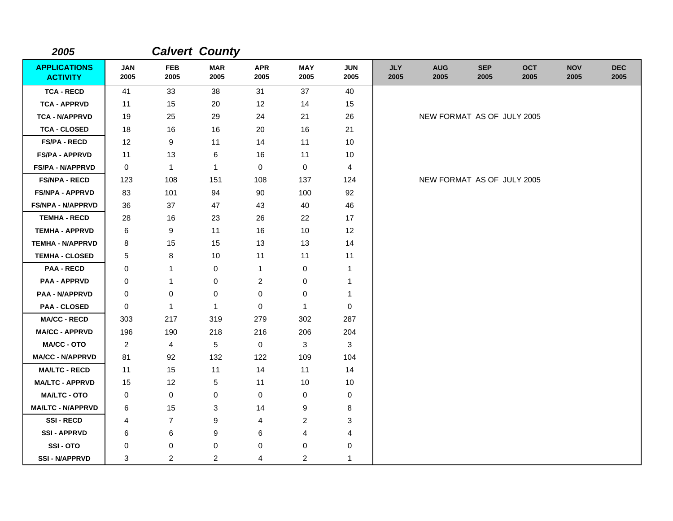| 2005                                   |                    |                    | <b>Calvert County</b> |                    |                    |                    |                    |                            |                    |                    |                    |                    |
|----------------------------------------|--------------------|--------------------|-----------------------|--------------------|--------------------|--------------------|--------------------|----------------------------|--------------------|--------------------|--------------------|--------------------|
| <b>APPLICATIONS</b><br><b>ACTIVITY</b> | <b>JAN</b><br>2005 | <b>FEB</b><br>2005 | <b>MAR</b><br>2005    | <b>APR</b><br>2005 | <b>MAY</b><br>2005 | <b>JUN</b><br>2005 | <b>JLY</b><br>2005 | <b>AUG</b><br>2005         | <b>SEP</b><br>2005 | <b>OCT</b><br>2005 | <b>NOV</b><br>2005 | <b>DEC</b><br>2005 |
| <b>TCA - RECD</b>                      | 41                 | 33                 | 38                    | 31                 | 37                 | 40                 |                    |                            |                    |                    |                    |                    |
| <b>TCA - APPRVD</b>                    | 11                 | 15                 | 20                    | 12                 | 14                 | 15                 |                    |                            |                    |                    |                    |                    |
| <b>TCA - N/APPRVD</b>                  | 19                 | 25                 | 29                    | 24                 | 21                 | 26                 |                    | NEW FORMAT AS OF JULY 2005 |                    |                    |                    |                    |
| <b>TCA - CLOSED</b>                    | 18                 | 16                 | 16                    | 20                 | 16                 | 21                 |                    |                            |                    |                    |                    |                    |
| <b>FS/PA - RECD</b>                    | 12                 | 9                  | 11                    | 14                 | 11                 | 10                 |                    |                            |                    |                    |                    |                    |
| <b>FS/PA - APPRVD</b>                  | 11                 | 13                 | 6                     | 16                 | 11                 | 10                 |                    |                            |                    |                    |                    |                    |
| <b>FS/PA - N/APPRVD</b>                | 0                  | $\mathbf{1}$       | $\mathbf{1}$          | 0                  | 0                  | $\overline{4}$     |                    |                            |                    |                    |                    |                    |
| <b>FS/NPA - RECD</b>                   | 123                | 108                | 151                   | 108                | 137                | 124                |                    | NEW FORMAT AS OF JULY 2005 |                    |                    |                    |                    |
| <b>FS/NPA - APPRVD</b>                 | 83                 | 101                | 94                    | 90                 | 100                | 92                 |                    |                            |                    |                    |                    |                    |
| <b>FS/NPA - N/APPRVD</b>               | 36                 | 37                 | 47                    | 43                 | 40                 | 46                 |                    |                            |                    |                    |                    |                    |
| <b>TEMHA - RECD</b>                    | 28                 | 16                 | 23                    | 26                 | 22                 | 17                 |                    |                            |                    |                    |                    |                    |
| <b>TEMHA - APPRVD</b>                  | 6                  | 9                  | 11                    | 16                 | 10                 | 12                 |                    |                            |                    |                    |                    |                    |
| <b>TEMHA - N/APPRVD</b>                | 8                  | 15                 | 15                    | 13                 | 13                 | 14                 |                    |                            |                    |                    |                    |                    |
| <b>TEMHA - CLOSED</b>                  | 5                  | 8                  | 10                    | 11                 | 11                 | 11                 |                    |                            |                    |                    |                    |                    |
| <b>PAA - RECD</b>                      | 0                  | $\mathbf{1}$       | 0                     | 1                  | 0                  | $\mathbf{1}$       |                    |                            |                    |                    |                    |                    |
| <b>PAA - APPRVD</b>                    | 0                  | $\mathbf{1}$       | 0                     | $\overline{c}$     | 0                  | $\mathbf 1$        |                    |                            |                    |                    |                    |                    |
| PAA - N/APPRVD                         | 0                  | 0                  | 0                     | 0                  | 0                  | 1                  |                    |                            |                    |                    |                    |                    |
| <b>PAA - CLOSED</b>                    | 0                  | $\mathbf{1}$       | $\mathbf{1}$          | 0                  | $\mathbf{1}$       | $\mathbf 0$        |                    |                            |                    |                    |                    |                    |
| <b>MA/CC - RECD</b>                    | 303                | 217                | 319                   | 279                | 302                | 287                |                    |                            |                    |                    |                    |                    |
| <b>MA/CC - APPRVD</b>                  | 196                | 190                | 218                   | 216                | 206                | 204                |                    |                            |                    |                    |                    |                    |
| <b>MA/CC - OTO</b>                     | $\overline{2}$     | $\overline{4}$     | 5                     | 0                  | 3                  | 3                  |                    |                            |                    |                    |                    |                    |
| <b>MA/CC - N/APPRVD</b>                | 81                 | 92                 | 132                   | 122                | 109                | 104                |                    |                            |                    |                    |                    |                    |
| <b>MA/LTC - RECD</b>                   | 11                 | 15                 | 11                    | 14                 | 11                 | 14                 |                    |                            |                    |                    |                    |                    |
| <b>MA/LTC - APPRVD</b>                 | 15                 | 12                 | 5                     | 11                 | 10                 | 10                 |                    |                            |                    |                    |                    |                    |
| <b>MA/LTC - OTO</b>                    | 0                  | $\mathbf 0$        | 0                     | $\mathbf 0$        | 0                  | 0                  |                    |                            |                    |                    |                    |                    |
| <b>MA/LTC - N/APPRVD</b>               | 6                  | 15                 | 3                     | 14                 | 9                  | 8                  |                    |                            |                    |                    |                    |                    |
| <b>SSI-RECD</b>                        | 4                  | $\overline{7}$     | 9                     | 4                  | $\overline{c}$     | 3                  |                    |                            |                    |                    |                    |                    |
| <b>SSI - APPRVD</b>                    | 6                  | 6                  | 9                     | 6                  | 4                  | 4                  |                    |                            |                    |                    |                    |                    |
| SSI-OTO                                | 0                  | 0                  | $\pmb{0}$             | 0                  | 0                  | 0                  |                    |                            |                    |                    |                    |                    |
| <b>SSI - N/APPRVD</b>                  | 3                  | $\overline{2}$     | $\overline{c}$        | 4                  | $\overline{c}$     | $\mathbf{1}$       |                    |                            |                    |                    |                    |                    |